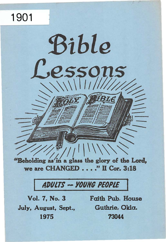# 1901

"Beholding as in a glass the glory of the Lord, we are CHANGED . . . ." II Cor. 3:18

Bible

essons

# ADULTS -- YOUNG PEOPLE

July, August, Sept., Guthrie. Okla. 1975 73044

Vol. 7, No. 3 Faith Pub. House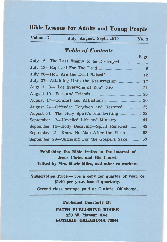# Bible Lessons for Adults and Young People

| Volume 7<br>July, August, Sept., 1975 | No. 3 |
|---------------------------------------|-------|
|---------------------------------------|-------|

# Table of Contents

|                                              | Page         |
|----------------------------------------------|--------------|
| July 6-The Last Enemy to be Destroyed        | $\mathbf{1}$ |
| July 13-Baptized For The Dead                | 6            |
| July 20-How Are the Dead Raised?             | 12           |
| July 27-Attaining Unto the Resurrection      | 17           |
| August 3-"Let Everyone of You" Give          | 21           |
| August 10-Foes and Friends                   | 26           |
| August 17-Comfort and Afflictions            | 30           |
| August 24 – Offender Forgiven and Restored   | 35           |
| August 31-The Holy Spirit's Handwriting      | 39           |
| September 7—Unveiled Life and Ministry       | 44           |
| September 14-Body Decaying-Spirit Renewed    | 49           |
| September 21-Know No Man After the Flesh     | 53           |
| September 28-Suffering For the Gospel's Sake | 59           |
|                                              |              |

Publishing the Bible truths in the interest of Jesus Christ and His Church Edited by Mrs. Marie Miles, and other co-workers.

Subscription Price - 35c a copy for quarter of year, or \$1.40 per year, issued quarterly.

Second class postage paid at Guthrie, Oklahoma.

Published Quarterly By FAITH PUBLISHING HOUSE 920 W. Mansur Ave. GUTHRIE, OKLAHOMA 73044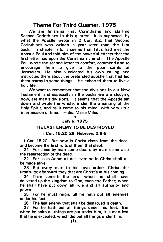## Theme For Third Quarter, 1975

We are finishing First Corinthians and starting Second Corinthians in this quarter. It is supposed, by what the Apostle wrote in 2 Cor. 9:2, that Second Corinthians was written a year later than the first book. In chapter 7:5, it seems that Titus had met the Apostle Paul and told him of the powerful effects that the first letter had upon the Corinthian church. The Apostle Paul wrote the second letter to comfort, commend and to encourage them to give to the poor saints at Jerusalem. He also vindicated his own calling and instructed them about the pretended apostle that had led them astray in some things. He exhorted them to live a holy life.

We want to remember that the divisions in our New Testament, and especially in the books we are studying now, are man's divisions. It seems that the Apostle sat down and wrote the whole, under the anointing of the Holy Spirit, and as it came to his mind, with very little  $intermission of time.$   $-Sis.$  Marie Miles

-------0-------

#### July 6, 1 975

#### THE LAST ENEMY TO BE DESTROYED

#### I Cor. 1 5:20-28; Hebrews 2:6-9

I Cor. 15:20 But now is Christ risen from the dead, and become the first fruits of them that slept.

21 For since by man came death, by man came also the resurrection of the dead.

22 For as in Adam all die, even so in Christ shall all be made alive.

23 But every man in his own order: Christ the firstfruits; afterward they that are Christ's at his coming.

24 Then cometh the end, when he shall have delivered up the kingdom to God, even the Father; when he shall have put down all rule and all authority and power.

25 For he must reign, till he hath put all enemies under his feet.

26 The last enemy that shall be destroyed is death.

27 For he hath put all things under his feet. But when he saith all things are put under him, it is manifest that he is excepted, which did put all things under him.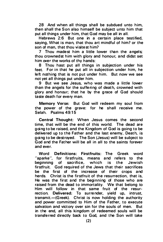28 And when all things shall be subdued unto him. then shall the Son also himself be subject unto him that put all things under him, that God may be all in all.

Hebrews 2:6 But one in a certain place testified. saying. What is man, that thou art mindful of him? or the son of man, that thou visitest him?

7 Thou madest him a little lower than the angels; thou crownedst him with glory and honour, and didst set him over the works of thy hands:

8 Thou hast put all things in subjection under his feet. For in that he put all in subjection under him, he left nothing that is not put under him. But now we see not yet all things put under him.

9 But we see Jesus, who was made a little lower than the angels for the suffering of death, crowned with glory and honour; that he by the grace of God should taste death for every man.

Memory Verse: But God will redeem my soul from the pow er of the grave: for he shall receive me. Selah. Psalms 49:15

Central Thought: When Jesus comes the second time, that will be the end of this world. The dead are going to be raised, and the Kingdom of God is going to be delivered up to the Father and the last enemy, Death, is going to be destroyed. The Son (Jesus) will be subject to God and the Father will be all in all to the saints forever and ever.

Word Definitions: Firstfruits: The Greek word "aparke", for firstfruits, means and refers to the beginning of sacrifice, which is the Jewish firstfruit. God required of the Jews that their sacrifices be the first of the increase of their crops and herds. Christ is the first fruit of the resurrection, that is, He was the first and the beginning of those who are raised from the dead to immortality. We that belong to Him will follow in that same fruit of the resurrection. Delivered: To surrender, vield up, intrust, transmit.-(Greek). Christ is now holding the authority and power committed to Him of the Father, to execute salvation and victory over sin for the souls of men. But in the end, all this kingdom of redeemed souls will be transferred directly back to God, and the Son will take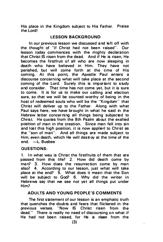His place in the Kingdom subject to His Father. Praise the Lord!

#### **LESSON BACKGROUND**

In our previous lesson we discussed and left off with the thought of "if Christ had not been raised". Our lesson today commences with the mighty declaration that Christ IS risen from the dead. And if He is risen, He becomes the firstfruit of all who are now sleeping in death who have believed in Him. They have not perished, but will come forth at the time of His coming. At this point, the Apostle Paul enters a discourse concerning what will take place at the second coming of the Lord. Surely this is important to study and consider. That time has not come yet, but it is sure to come. It is for us to make our calling and election sure, so that we will be counted worthy of being in the host of redeemed souls who will be the "Kingdom" that Christ will deliver up to the Father. Along with what Paul says here, we have brought in what he said in the Hebrew letter concerning all things being subjected to Christ. He quotes from the 8th Psalm about the exalted position of man in the creation. Since man fell into sin and lost this high position, it is now applied to Christ as the "son of man". And all things are made subject to Him, even death, which He will destroy at the time of the end. -L. Busbee

#### QUESTIONS:

1. In what way is Christ the firstfruits of them that are passed from this life? 2. How did death come by man? 3. How does the resurrection come by man also? 4. According to our lesson, just what will take place at the end? 5. What does it mean that the Son will be subject to God? 6. Why did the writer in Hebrews say that we see not yet all things put under Him?

#### ADULTS AND YOUNG PEOPLE'S COMMENTS

The first statement of our lesson is an emphatic truth that quenches the doubts and fears that flickered in the previous verses. "Now IS Christ risen from the dead." There is really no need of discoursing on what if He had not been raised, for He is risen from the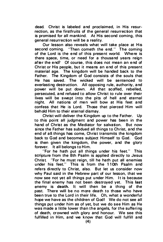dead. Christ is labeled and proclaimed, in His resurrection, as the firstfruits of the general resurrection that is promised for all mankind. At His second coming, this general resurrection will be a reality.

Our lesson also reveals what will take place at His second coming. "Then cometh the end." The coming of the Lord is the end of this present world. Where is there space, time, or need for a thousand years reign after the end? Of course, this does not mean an end of Christ or His people, but it means an end of this present material age. The kingdom will be handed back to the Father. The Kingdom of God consists of the souls that rather. The Kingdom of God consists of the souls that<br>He has saved. The wicked will be sentenced to everlasting destruction. All opposing rule, authority, and power will be put down. All that scoffed, rebelled, persecuted, and refused to allow Christ to rule over their lives will be swept into the pits of hell and eternal night. All nations of men will bow at His feet and confess that He is Lord. Those that pierced Him will behold Him to their eternal dismay.

Christ will deliver the Kingdom up to the Father. Up to this point all judgment and power has been in the hand of Christ as the Mediator for salvation. But now since the Father has subdued all things to Christ, and the end of all things has come, Christ transmits the kingdom back to God and becomes subject Himself to God. God is then given the kingdom, the power, and the glory forever. It all belongs to Him.

"For he hath put all things under his feet." This scripture from the 8th Psalm is applied directly to Jesus Christ. "For he must reign, till he hath put all enemies under his feet." This is from the 11 Oth Psalm and refers directly to Christ, also. But let us consider now why Paul said in the Hebrew part of our lesson, that we now see not yet all things put under Him. It is because the final enemy has not been destroyed yet. This last enemy is death. It will then be a thing of the past. There will be no more death to those who have been true to the Lord in their life. Oh, what a wonderful hope we have as the children of God! We do not see all things put under him as of yet, but we do see Him as He was made a little lower than the angels, for the suffering of death, crowned with glory and honour. We see this fulfilled in Him, and we know that God will fulfill and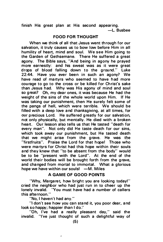finish His great plan at His second appearing. -L. Busbee

#### FOOD FOR THOUGHT

When we think of all that Jesus went through for our salvation, it truly causes us to bow low before Him in all humility of heart, mind and soul. We see Him going to the Garden of Gethsemane. There He suffered a great agony. The Bible says, "And being in agony he prayed more earnestly: and his sweat was as it were great drops of blood falling down to the ground." Luke 22:44. Have you ever been in such an agony? We have read of martyrs who seemed to have had more courage to go to the cross or be killed for Christ's sake than Jesus had. Why was His agony of mind and soul so great? Oh, my dear ones, it was because He had the weight of the sins of the whole world upon Him. If He was taking our punishment, then He surely felt some of the pangs of hell, which were terrible. We should be filled with a deep love and thanksgiving, at all times, for our precious Lord. He suffered greatly for our salvation, not only physically, but mentally. He died with a broken heart. Our lesson also tells us that He tasted "death for every man". Not only did He taste death for our sins, which took away our punishment, but He tasted death that we might arise from the grave. He was the "firstfruits". Praise the Lord for that hope! Those who were martyrs for Christ had this hope within their souls and they knew that "to be absent from the body" would be to be "present with the Lord". At the end of the world their bodies will be brought forth from the grave, and changed from mortal to immortal. What a glorious hope we have within our souls!  $-M$ . Miles

#### A GAME OF GOOD POINTS

"Why, Margaret, how bright you are looking today!" cried the neighbor who had just run in to cheer up the lonely invalid. "You must have had a number of callers this afternoon."

"No, I haven't had any."

"I don't see how you can stand it, you poor dear, and look so happy; happier than I do."

"Oh, I've had a really pleasant day," said the invalid. "I've just thought of such a delightful way of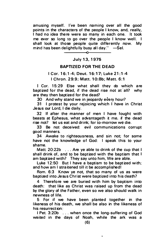amusing myself. I've been naming over all the good points in the characters of the people I know, and, really, I had no idea there were so many in each one. It took me ever so long to go over the people I know well. I shall look at those people quite differently now. My mind has been delightfully busy all day."  $-$ Sel.

### --------�0--------- July 13, 1 975

#### BAPTIZED FOR THE DEAD

# I Cor. 1 6:1-4; Deut . 16:17; Luke 21:1-4

I Chron. 29:9; Matt. 10:8b: Matt. 6:1

I Cor. 15:29 Else what shall they do which are baptized for the dead, if the dead rise not at all? why are they then baptized for the dead?

30 And why stand we in jeopardy every hour?

31 I protest by your rejoicing which I have in Christ Jesus our Lord, I die daily.

32 If after the manner of men I have fought with beasts at Ephesus, what advantageth it me. if the dead rise not? let us eat and drink; for to-morrow we die.

33 Be not deceived: evil communications corrupt good manners.

34 Awake to righteousness, and sin not; for some have not the knowledge of God: I speak this to your shame.

Matt. 20:22b . . . Are ye able to drink of the cup that I shall drink of, and to be baptized with the baptism that I am baptized with? They say unto him, We are able.

Luke 12:50 But I have a baptism to be baptized with; and how am I straitened till it be accomplished!

Rom. 6:3 Know ye not, that so many of us as were baptized into Jesus Christ were baptized into his death?

4 Therefore we are buried with him by baptism into death: that like as Christ was raised up from the dead by the glory of the Father, even so we also should walk in newness of life.

5 For if we have been planted together in the likeness of his death, we shall be also in the likeness of his resurrection:

I Pet. 3:20b ... when once the long-suffering of God waited in the days of Noah, while the ark was a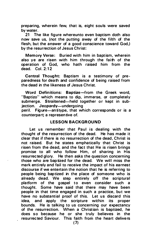preparing, wherein few, that is, eight souls were saved by water.

21 The like figure whereunto even baptism doth also now save us, (not the putting away of the filth of the flesh, but the answer of a good conscience toward God,) by the resurrection of Jesus Christ:

Memory Verse: Buried with him in baptism, wherein also ye are risen with him through the faith of the operation of God, who hath raised him from the dead. Col.  $2.12$ 

Central Thought: Baptism is a testimony of preparedness for death and confidence of being raised from t he dead in the likeness of Jesus Christ.

Word Definitions: Baptize-from the Greek word, "Baptizo" which means to dip, immerse, or completely submerge. Straitened-held together or kept in subjection. Jeopardy-undergoing

peril. Figure-antitype, that which corresponds or is a counterpart; a representive of.

#### **LESSON BACKGROUND**

Let us remember that Paul is dealing with the thought of the resurrection of the dead. He has made it clear that if there is no resurrection of the dead. Christ is not raised. But he states emphatically that Christ is risen from the dead, and the fact that He is risen brings promise to all who follow Him, of sharing in His resurrected glory. He then asks the question concerning those who are baptized for the dead. We will miss the mark entirely and fail to receive the impact of his earnest discourse if we entertain the notion that he is referring to people being baptized in the place of someone who is already dead. We step entirely off the scriptural platform of the gospel to even consider such a thought. Some have said that there may have been people in that time engaged in such a practice, but we have no substantial proof of this. Let us discard this idea, and apply the scripture within its proper bounds. He is talking to us concerning our expectancy of the resurrection. When a Christian is baptized, he does so because he or she truly believes in the resurrected Saviour. This faith from the heart delivers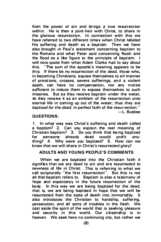from the power of sin and brings a true resurrection within. He is then a joint-heir with Christ, to share in the glorious resurrection. In connection with this we have referred to two different times when Christ labeled His suffering and death as a baptism. Then we have also brought in Paul's statement concerning baptism to the Romans and what Peter said concerning Noah and the flood as a like figure to the principle of baptism. I will now quote from what Adam Clarke had to say about this. "The sum of the apostle's meaning appears to be this: If there be no resurrection of the dead, those who, in becoming Christians, expose themselves to all manner of privations, crosses, severe sufferings, and a violent death, can have no compensation, nor any motive sufficient to induce them to expose themselves to such miseries. But as they receive baptism under the water. so they receive it as an emblem of the resurrection unto eternal life in coming up out of the water; thus they are baptized for the dead, in perfect faith of the resurrection." -L. Busbee

#### QUESTIONS:

1. In what way was Christ's suffering and death called a baptism? 2. Can you explain the real meaning of Christian baptism? 3. Do you think that being baptized<br>for someone already dead would profit anyfor someone already dead would profit anything? 4. Why were you baptized? 5. How can we know that we will share in Christ's resurrected glory?

#### ADULTS AND YOUNG PEOPLE'S COMMENTS

When we are bantized into the Christian faith it signifies that we are dead to sin and are resurrected to newness of life in Christ. This is referring to what we call scripturally "the first resurrection". But this is not all that baptism refers to. Baptism is also a testimony of hope and expectancy in the future resurrection of the body. In this way we are being baptized for the dead. that is, we are being baptized in hope that we will be resurrected from the state of death into immortality. It also introduces the Christian to hardship, suffering, persecution, and all sorts of troubles in the flesh. We cast aside the spirit of the world that is seeking pleasure and security in this world. Our citizenship is in heaven. We seek here no continuing city, but rather we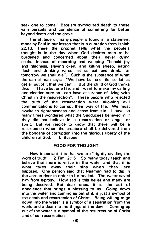seek one to come. Baptism symbolized death to these vain pursuits and confidence of something far better beyond death and the grave.

The attitude of many people is found in a statement made by Paul in our lesson that is a quotation from Isaiah  $22:13$ . There the prophet tells what the people's thought is in the day when God desires men to be<br>burdened and concerned about their never dving burdened and concerned about their never dying souls. Instead of mourning and weeping "behold joy and gladness, slaying oxen, and killing sheep, eating flesh and drinking wine: let us eat and drink; for tomorrow we shall die". Such is the substance of what the carnal man says: 'We have but one life, so let us get all out of it that we can". But the child of God thinks thus: "I have but one life, and I want to make my calling and election sure so I can have assurance of living with Christ in the resurrection". These people who rejected the truth of the resurrection were allowing evil communications to corrupt their way of life. We must awake to righteousness and cease from sin. I have so many times wondered what the Sadducees believed in if they did not believe in a resurrection or angel or<br>spirit. But we rejoice to know that there will be a But we rejoice to know that there will be a resurrection when the creature shall be delivered from the bondage of corruption into the glorious liberty of the children of God. -L. Busbee

#### FOOD FOR THO UGHT

How important it is that we are "rightly dividing the word of truth". 2 Tim. 2:15. So many today teach and believe that there is virtue in the water and that it is what takes away their sins when they are baptized. One person said that Naaman had to dip in the Jordan river in order to be healed. The water saved him from leprosy. How sad is this belief and many are being deceived. But dear ones, it is the a<mark>ct of</mark><br>obedience\_that\_brings\_a\_blessing\_to\_us. Going\_down obedience that brings a blessing to us. into the water and coming up out of it, is just a symbol of the death and resurrection of Christ. Being willing to go down into the water is a symbol of a separation from the world and a death to the things of the devil. Coming up out of the water is a symbol of the resurrection of Christ and of our resurrection.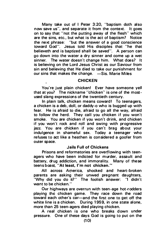Many take out of I Peter 3:20, "baptism doth also now save us", and separate it from the context. It goes on to say that "not the putting away of the flesh" which are the sins, etc., but what is the act of baptism? Notice the next phrase: "but the answer of a good conscience toward God". Jesus told His disciples that "he that believeth and is baptized shall be saved". A person can go down into the water a dry sinner and come up a wet sinner. The water doesn't change him. What does? It is believing on the Lord Jesus Christ as our Saviour from sin and believing that He died to take our punishment for our sins that makes the change. -Sis. Marie Miles

#### **CHICKEN**

You're just plain chicken! Ever have someone yell that at you? The nickname "chicken" is one of the mostused slang expressions of the twentieth century.

In plain talk, chicken means coward! To teenagers, a chicken is a deb, doll, or daddy-a who is bugged up with fear. He is afraid to die, afraid to go all the way, afraid to follow the herd. They call you chicken if you won't smoke. You are chicken if you won't drink, and chicken if you won't rock and roll and swing with progressive jazz. You are chicken if you can't brag about your indu lgence in shameful sex. Today a teenager who refuses to act like a heathen is considered a goofer from outer space.

#### Jails Full of Chickens

Prisons and reformatories are overflowing with teenagers who have been indicted for murder, assault and battery, drug addiction, and immorality. Many of these teens boast, "At least, I'm not chicken."

All across America, shocked and heart-broken parents are asking their unwed pregnant daughters. 'Why did you do it?'' The foolish answer: ''I didn't want to be chicken."

Our highways are overrun with teen-age hot-rodders playing the chicken game. They race down the road toward each other's car-and the first one to get off the white line is a chicken. During 1959, in one state alone. more than 25 teen- agers died playing chicken.

A real chicken is one who breaks down under pressure. One of these days God is going to put on the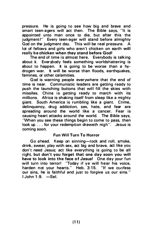pressure. He is going to see how big and brave and smart teen-agers will act then. The Bible says, "It is appointed unto man once to die, but after this the judgment!" Every teen-ager will stand before almighty God on the judgment day. This will be real pressure. A lot of fellows and girls who aren't chicken on earth will really be chicken when they stand before God!

The end of time is almost here. Everybody is talking about it. Everybody feels something worldshattering is about to happen. It is going to be worse than a hydrogen war. It will be worse than floods, earthquakes, famines, or other calamities.

God is warning people everywhere that the end of time is near. Communistic leaders are getting ready to push the launching buttons that will fill the skies with missiles. China is getting ready to march with its millions. Africa is shaking itself from sleep like a mighty giant. South America is rumbling like a giant. Crime, delinquency, drug addiction, sex, hate, and fear are spreading around the world like a cancer. Fear is causing heart attacks around the world. The Bible says, "When you see these things begin to come to pass, then look up . . . for your redemption draweth nigh". Jesus is coming soon.

#### Fun Will Turn To Horror

Go ahead. Keep on sinning-rock and roll, smoke, drink, swear, play with sex, act big and brave, act like you don't need Jesus; act like everything is going to be all right, but don't you forget that one day soon you will have to look into the face of Jesus! One day your fun will turn into terror! "Today if ye will hear his voice, harden not your hearts." Heb. 3:15. "If we confess our sins, he is faithful and just to forgive us our sins."  $1$  John  $1.9. -$ Sel.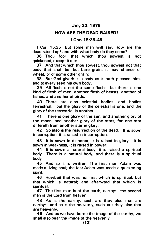#### July 20, 1 975

#### HOW ARE THE DEAD RAISED?

#### I Cor. 1 5:35-49

I Cor. 15:35 But some man will say, How are the dead raised up? and with what body do they come?

36 Thou fool, that which thou sowest is not quickened, except it die:

37 And that which thou sowest, thou sowest not that body that shall be, but bare grain, it may chance of wheat, or of some other grain:

38 But God giveth it a body as it hath pleased him, and to every seed his own body.

39 All flesh is not the same flesh: but there is one kind of flesh of men, a nother flesh of beasts, a nother of fishes, and another of birds.

40 There are also celestial bodies, and bodies terrestrial: but the glory of the celestial is one, and the glory of the terrestrial is a nother.

41 There is one glory of the sun, and another glory of the moon, and another glory of the stars; for one star differeth from another star in glory.

42 So also is the resurrection of the dead. It is sown in corruption, it is raised in incorruption:

43 It is sown in dishonor, it is raised in glory: it is sown in weakness, it is raised in power:

44 It is sown a natural body, it is raised a spiritual body. There is a natural body, and there is a spiritual body.

45 And so it is written. The first man Adam was made a living soul; the last Adam was made a quickening spirit.

46 Howbeit that was not first which is spiritual, but that which is natural; and afterward that which is spiritual.

47 The first man is of the earth, earthy: the second man is the Lord from heaven.

48 As is the earthy, such are they also that are earthy: and as is the heavenly, such are they also that are heavenly.

49 And as we have borne the image of the earthy, we shall also bear the image of the heavenly.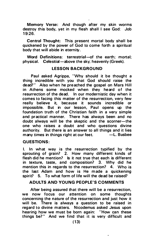Memory Verse: And though after my skin worms destroy this body, yet in my flesh shall I see God: Job 19:26.

Central Thought: This present mortal body shall be quickened by the power of God to come forth a spiritual body that will abide in eternity.

Word Definitions: terrestrial-of the earth; mortal; physical. Celestial-above the sky; heavenly (Greek).

#### LESSON BACKGROUND

Paul asked Agrippa, "Why should it be thought a thing incredible with you that God should raise the dead?" Also when he preached the gospel on Mars Hill in Athens some mocked when they heard of the resurrection of the dead. In our modernistic day when it comes to facing this matter of the resurrection, very few really believe it, because it sounds incredible or impossible. But in our lesson, Paul opens up the foundation truth of the Christian faith in a very simple and practical manner. There has always been and no doubt always will be the skeptic and the scorner-the one who raises a doubt and who questions divine authority. But there is an answer to all things and it lies many times in things right at our feet.  $\qquad -L$ . Busbee

#### QUESTIONS:

I. In what way is the resurrection typified by the sprouting of grain? 2. How many different kinds of flesh did he mention? Is it not true that each is different in texture, taste, and composition? 3. Why did he mention this in regards to the resurrection? 4. Who is the last Adam and how is He made a quickening spirit? 5. To what form of life will the dead be raised?

#### ADULTS AND YOUNG PEOPLE'S COMMENTS

After being assured that there will be a resurrection. we now focus our attention on some thoughts concerning the nature of the resurrection and just how it will be. There is always a question to be raised in regard to divine matters. Nicodemus asked Jesus upon hearing how we must be born again: "How can these things be?" And we find that it is very difficult and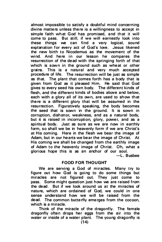almost impossible to satisfy a doubtful mind concerning divine matters unless there is a willingness to accept in simple faith what God has promised, and that it will come to pass. But still, if we will earnestly look into these things we can find a very logical, sound explanation for every act of God's love. Jesus likened the new birth to Nicodemus as the movement of the<br>wind. And here in our lesson he compares the wind. And here in our lesson he compares resurrection of the dead with the springing forth of that which is sown in the ground such as wheat or other grains. This is a natural and very much accepted procedure of life. The resurrection will be just as simple as that. The plant that comes forth has a body that is given from God as it pleased Him. He said that God gives to every seed his own body. The different kinds of flesh, and the different kinds of bodies above and below. each with a glory all of its own, are used to show that there is a different glory that will be assumed in the resurrection. Figuratively speaking, the body becomes the seed that is sown in the ground. It is sown in corruption, dishonor, weakness, and as a natural body, but it is raised in incorruption, glory, power, and as a spiritual body. Just as sure as we are now in earthly form, so shall we be in heavenly form if we are Christ's at His coming. Here in the flesh we bear the image of Adam, but in our hearts we bear the image of Christ. At His coming we shall be changed from the earthly image of Adam to the heavenly image of Christ. Oh, what a glorious hope this is as an anchor of our soul. -l. B usbee

#### FOOD FOR THOUGHT

We are serving a God of miracles. Many try to figure out how God is going to do some things but miracles are not figured out. They just come to pass. Some might question just how we are raised from the dead. But if we look around us at the miracles of nature, which are ordained of God, we could in one sense understand how we will be raised from the dead. The common butterfly emerges from the cocoon, which is a miracle.

Think of the miracle of the dragonfly. The female dragonfly often drops her eggs from the air into the water or inside of a water plant. The young dragonfly is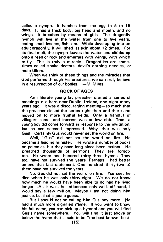called a nymph. It hatches from the egg in 5 to 15 days. It has a thick body, big head and mouth, and no wings. It breathes by means of gills. The dragonfly nymph will live in the water from one to five years, eating small insects, fish, etc. While developing into an adult dragonfly, it will shed its skin about 12 times. For its final molt, the nymph leaves the water and climbs up onto a reed or rock and emerges with wings, with which to fly. This is truly a miracle. Dragonflies are sometimes called snake doctors, devil's darning needles, or mule killers.

When we think of these things and the miracles that God performs through His creatures, we can truly believe in a resurrection of our bodies.  $-M$ . Miles

#### ROCK OF AGES

An illiterate young lay preacher started a series of meetings in a barn near Dublin, Ireland, one night many years ago. It was a discouraging meeting-so much that the preacher closed the series right then and there and moved on to more fruitful fields. Only a handful of villagers came, and interest was at low ebb. True, a young boy did come forward in response to the invitation, but no one seemed impressed. Why, that was only Gus! Certainly Gus would never set the world on fire.

Well, "Gus" did not set the world on fire. He became a leading minister. He wrote a number of books on polemics, but they have long since been extinct. He preached thousands of sermons. They are forgotten. He wrote one hundred thirty-three hymns. They too, have not survived the years. Perhaps I had better amend that last statement. One hundred thirty-two o! them have not survived the years.

No, Gus did not set the world on fire. You see, he died when he was only thirty-eight. We do not know how much he would have been able to do had he lived longer. As it was, he influenced only-well, off-hand, I would say a few million. Maybe I am not doing him justice, but that is just a quess.

But I should not be calling him Gus any more. He had a much more dignified name. If you want to know his full name, you can pick up a hymnal and you will find Gus's name somewhere. You will find it just above or below the hymn that is said to be "the best-known, best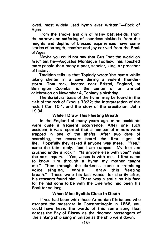loved, most widely used hymn ever written"-Rock of Ages.

From the smoke and din of many battlefields, from the sorrow and suffering of countless sickbeds, from the heights and depths of blessed experiences have come stories of strength, comfort and joy derived from the Rock of Ages.

Maybe you could not say that Gus "set the world on fire," but he-Augustus Montague Toplady, has touched more people than many a poet, scholar, king, or preacher of history.

Tradition tells us that Toplady wrote the hymn while taking shelter in a cave during a violent thunderstorm. That rock, located near Bristol, England, at<br>Burrington Coombs, is the center of an annual Burrington Coombs, is the center of an annual ce lebration on November 4, Toplady's bir thday.

The Scriptural basis of the hymn may be found in the cleft of the rock of Exodus 33:22; the interpretation of the rock, I Cor. 10:4, and the story of the crucifixion, John 19:34.

#### While I Draw This Fleeting Breath

In the England of many years ago, mine accidents were quite a frequent occurrence. After one such accident, it was reported that a number of miners were trapped in one of the shafts. After two days of searching, the rescuers heard the first signs of<br>life. Hopefully they asked if anyone was there. "Yes." life. Hopefully they asked if anyone was there. came the faint reply, "but I am trapped. My feet are crushed under a rock." "Is anyone else with you?" was the next inquiry. "Yes, Jesus is with me. I first came to know Him through a hymn my mother 'taught me." Then through the darkness came a trembling voice singing, "While I draw this fleeting breath." These were his last words, for shortly after, his rescuers found him. There was a smile on his face for he had gone to be with the One who had been his Rock for so long.

#### When Mine Eyelids Close In Death

If you had been with those Armenian Christians who escaped the massacre in Constantinople in 1866, you could have heard the words of this same song float across the Bay of Biscay as the doomed passengers of the sinking ship sang in unison as the ship went down.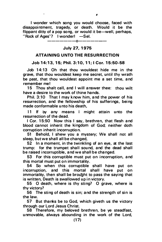I wonder which song you would choose, faced with disappointment, tragedy, or death. Would it be the flippant ditty of a pop song, or would it be-well, perhaps, "Rock of Ages"? I wonder!  $-$ Sel.

# -------0-------

### July 27, 1975

#### ATTAINING UNTO THE RESURRECTION

#### Job 1 4:13, 15; Phil. 3:10, 11; I Cor. 15:50-58

Job  $14:13$  Oh that thou wouldest hide me in the grave, that thou wouldest keep me secret, until thy wrath be past, that thou wouldest appoint me a set time, and remember mel

15 Thou shalt call, and I will answer thee: thou wilt have a desire to the work of thine hands.

Phil.  $3:10$  That I may know him, and the power of his resurrection, and the fellowship of his sufferings, being made conformable unto his death,

11 If by any means I might attain unto the resurrection of the dead.

I Cor. 15:50 Now this I say, brethren, that flesh and blood cannot inherit the kingdom of God; neither doth corruption inherit incorruption.

51 Behold, I shew you a mystery; We shall not all sleep, but we shall all be changed,

52 In a moment, in the twinkling of an eye, at the last trump: for the trumpet shall sound, and the dead shall be raised incorruptible, and we shall be changed.

53 For this corruptible must put on incorruption, and this mortal must put on immortality.

54 So when this corruptible shall have put on incorruption, and this mortal shall have put on immortality, then shall be brought to pass the saying that is written, Death is swallowed up in victory.

55 0 death, where is thy sting? 0 grave, where is thy victory?

56 The sting of death is sin; and the strength of sin is the law.

57 But thanks be to God, which giveth us the victory through our Lord Jesus Christ.

58 Therefore, my beloved brethren, be ye steadfast, unmovable, always abounding in the work of the Lord,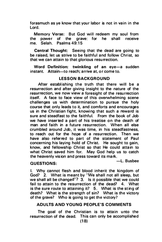forasmuch as ye know that your labor is not in vain in the Lord.

Memory Verse: But God will redeem my soul from the power of the grave: for he shall receive me. Selah. Psalms 49:15

Central Thought: Seeing that the dead are going to be raised, let us strive to be faithful and follow Christ, so that we can attain to that glorious resurrection.

Word Definition: twinkling of an eve-a sudden instant. Attain-to reach: arrive at, or come to.

#### LESSON BACKGROUND

After establishing the truth that there will be a resurrection and after giving insight to the nature of the resurrection, we now view a foresight of the resurrection itself. A face to face view of this overwhelming scene challenges us with determination to pursue the holy course that only leads to it, and comforts and encourages us in the Christian fight, knowing that such a reward is sure and steadfast to the faithful. From the book of Job we have inserted a part of his treatise on the death of man and faith in a future resurrection. When all else crumbled around Job, it was time, in his steadfastness, to reach out for the hope of a resurrection. Then we have also referred to part of the statement of Paul concerning his laying hold of Christ. He sought to gain, know, and fellowship Christ so that He could attain to what Christ saved him for. May God help us to catch the heavenly vision and press toward its mark.

# QUESTIONS:  $-$ L. Busbee

I. Why cannot flesh and blood inherit the kingdom of God? 2. What is meant by 'We shall not all sleep, but we shall all be changed"?  $3.$  Is it possible that we could fail to attain to the resurrection of the dead? 4. What is the sure route to attaining it?  $5.$  What is the sting of death? What is the strength of sin? What is the victory of the grave? Who is going to get the victory?

#### ADULTS AND YOUNG PEOPLE'S COMMENTS

The goal of the Christian is to attain unto the resurrection of the dead. This can only be accomplished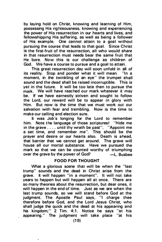by laving hold on Christ, knowing and learning of Him. possessing His righteousness, knowing and experiencing the power of His resurrection in our hearts and lives, and fellowshipping His suffering, as well as being a follower of His example. One cannot attain to a goal without pursuing the course that leads to that goal. Since Christ is the first-fruit of the resurrection, all who would share in that resurrection must needs bear the same fruit that He bore. Now this is our challenge as children of God. We have a course to pursue and a goal to attain.

This great resurrection day will soon unfold in all of<br>reality Stop and ponder what it will mean. "In a its reality. Stop and ponder what it will mean. moment, in the twinkling of an eye" the trumpet shall sound and the dead shall be raised incorruptible. This is yet in the future. It will be too late then to pursue the mark. We will have reached our mark whatever it may be. If we have earnestly striven and sought to follow the Lord, our reward will be to appear in glory with Him. But now is the time that we must work out our salvation with fear and trembling. Now is the time to make our calling and election sure.

It was Job's longing for the Lord to remember him. Note the language of those scriptures! "Hide me in the grave  $\dots$  until thy wrath be past". "Appoint me a set time, and remember me". This should be the prayer and desire or our hearts also. Death is ahead, that barrier that we cannot get around. The grave will house all our mortal substance. Have we pursued the mark so that we can be counted worthy of triumphing over the grave by the power of  $God$ ?  $\qquad$   $\qquad$   $\qquad$   $\qquad$   $\qquad$   $\qquad$   $\qquad$   $\qquad$   $\qquad$   $\qquad$   $\qquad$   $\qquad$   $\qquad$   $\qquad$   $\qquad$   $\qquad$   $\qquad$   $\qquad$   $\qquad$   $\qquad$   $\qquad$   $\qquad$   $\qquad$   $\qquad$   $\qquad$   $\qquad$   $\qquad$   $\qquad$   $\qquad$   $\qquad$   $\qquad$ 

#### FOOD FOR THOUGHT

What a glorious scene that will be when the "last trump" sounds and the dead in Christ arise from the grave. It will happen "in a moment". It will not take years to happen but will happen all at once. There are so many theories about the resurrection, but dear ones, it will happen in the end of time. Just as we are when the last trump sounds, so we will stand before God at the judgment. The Apostle Paul says, "I charge thee therefore before God, and the Lord Jesus Christ, who shall judge the quick and the dead at his appearing and his kingdom;" 2 Tim. 4:1. Notice he says "at his appearing." The judgment will take place "at his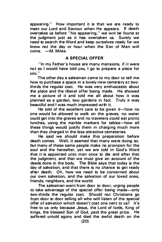appearing." How important it is that we are ready to meet our Lord and Saviour when He appears. If death overtakes us before "his appearing," we will be found at the judgment just as it has overtaken us. Surely we need to search the Word and keep ourselves ready for we know not the day or hour when the Son of Man will come. - M. Miles

#### A SPECIAL OFFER

"In my Father's house are many mansions, if it were not so I would have told you, I go to prepare a place for you."

The other day a salesman came to my door to tell me how to purchase a space in a lovely new cemetery at twothirds the regular cost. He was very enthusiastic about the place and the liberal offer being made. He showed me a picture of it and told me all about how it was planned as a garden, two gardens in fact. Truly it was beautiful and I was much impressed with it.

He told of the excellent care to be given it-how no one would be allowed to walk on the graves, no water could get into the graves and no travelers could eat picnic lunches, using the marble markers for tables—how all these things would justify them in charging much more than they charged in the less attractive cemeteries.

He said we should make this preparation before death comes. Well, it seemed that many were doing so, but many of these same people make no provision for the soul and the hereafter, yet we are told in God's Word that it is appointed unto man once to die and after that the judgment, and that we must give an account of the deeds done in the body. The Bible says that today is the day of salvation, and that there is no chance to get ready after death. Oh, how we need to be concerned about our own salvation, and the salvation of our loved ones, friends, neighbors, and the world.

The salesman went from door to door, urging people to take advantage of the special offer being made-only two-thirds the regular cost. Should not Christians go from door to door telling all who will listen of the special offer of salvation which doesn't cost one cent to us? It's free to us only because Jesus, the Lord of lords, King of kings, the blessed Son of God, paid the great price. He suffered untold agony and died the awful death on the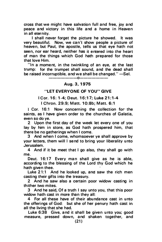cross that we might have salvation full and free, joy and peace and victory in this life and a home in Heaven in all eternity.

I shall never forget the picture he showed. It was very beautiful. Now, we can't show people a picture of heaven, but Paul, the apostle, tells us that eye hath not seen, nor ear heard, neither has it entered into the heart of man the things wh ich God hath prepared for those that love Him.

"In a moment, in the twinkling of an eye, at the last trump: for the trumpet shall sound, and the dead shall be raised incorruptible, and we shall be changed." -Sel. -------o-------

#### Aug. 3, 1975

#### "LET EVERYONE OF YOU" GIVE

#### I Cor. 16: 1-4; Deut . 16:17; Luke 21:1-4

I Chron. 29:9: Matt. 10:8b: Matt. 6:1

1 Cor. 16:1 Now concerning the collection for the saints, as I have given order to the churches of Galatia, even so do ye.

2 Upon the first day of the week let every one of you lay by him in store, as God hath prospered him, that there be no gatherings when I come.

3 And when I come, whomsoever ye shall approve by your letters, them will I send to bring your liberality unto Jerusalem.

4 And if it be meet that I go also, they shall go with me.

Deut. 16:17 Every man shall give as he is able, according to the blessing of the Lord thy God which he hath given thee.

Luke  $21:1$  And he looked up, and saw the rich men casting their gifts into the treasury.

2 And he saw also a certain poor widow casting in thither two mites.

3 And he said, Of a truth I say unto you, that this poor widow hath cast in more than they all:

4 For all these have of their abundance cast in unto the offerings of God: but she of her penury hath cast in all the living that she had.

Luke 6:38 Give, and it shall be given unto you; good measure, pressed down, and shaken together, and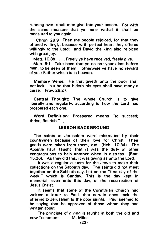running over, shall men give into your bosom. For with the same measure that ye mete withal it shall be measured to you again.

I Chron. 29:9 Then the people rejoiced, for that they offered willingly, because with perfect heart they offered willingly to the Lord: and David the king also rejoiced with areat joy.

Matt. 10:8b . . . Freely ye have received, freely give.

Matt. 6:1 Take heed that ye do not your alms before men, to be seen of them: otherwise ye have no reward of your Father which is in heaven.

Memory Verse: He that giveth unto the poor shall not lack: but he that hideth his eyes shall have many a curse. Prov. 28:27.

Central Thought: The whole Church is to give liberally and regularly, according to how the Lord has prospered each one.

Word Definition: Prospered means "to succeed; thrive; flourish. " .

#### LESSON BACKGROUND

The saints at Jerusalem were mistreated by their countrymen because of their love for Christ. Their goods were taken from them, etc. (Heb. 10:34). The Apostle Paul taught that it was the duty of other congregations to help another when in distress. (Rom 15:26). As they did this, it was giving as unto the Lord.

It was a regular custom for the Jews to make their collections on the Sabbath day. The saints did not meet together on the Sabbath day, but on the "first day of the week," which is Sunday. This is the day kept in memorial, even unto this day, of the resurrection of Jesus Christ.

It seems that some of the Corinthian Church had written a letter to Paul, that certain ones took the offering to Jerusalem to the poor saints. Paul seemed to be saying that he approved of those whom they had written about.

The principle of giving is taught in both the old and new Testament. - M. Miles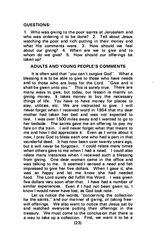#### QUESTIONS:

1. Who was giving to the poor saints at Jerusalem and who was ordering it to be done? 2. Tell about Jesus watching the poor and rich putting in their money and what His comments were. 3. How should we feel about our giving? 4. When are we to give and to whom do we give?  $5.$  How should our offerings be taken up?

#### ADULTS AND YOUNG PEOPLE'S COMMENTS

It is often said that "you can't outgive God". What a blessing it is to be able to give to those who have needs and to those who are busy for the Lord. "Give and it shall be given unto you." This is surely true. There are many ways to give, but today, our lesson is mainly on giving money. It takes money to buy the necessary things of life. You have to have money for places to stav. utilities. etc. We are instructed to give. I will never forget when I received word in 1954 that my dear mother had taken her bed and was not expected to live. I was over 1500 miles away and I wanted to go to her bedside. The saints gave me an offering to pay my fare on the train. I will never forget what that meant to me and how I did appreciate it. Even as I write about it now, I pray God to bless each one who had a part in that wonderful deed. It has now been over twenty years ago, but it will never be forgotten. I could relate many times when others gave to me when I had a need. I could also relate many instances when I received such a blessing from giving. One dear woman came in the office and was talking to me. It seemed I sensed a need and felt impressed to give her five dollars. When I gave it, she was so happy and let me know she had needed food. The Lord surely did fulfill His Word. I was given five dollars very soon after that. I have had a number of similar experiences. Even if I had not been given to, I know I would never have lost, as God took note.

Let us notice the words, "concerning the collection for the saints," and our manner of giving, or taking freewill offerings. We also want to notice that Jesus sat by and w atched everyone putting their offerings in the treasury. We must come to the conclusion that there is a way to take up a collection. First, we want it to be a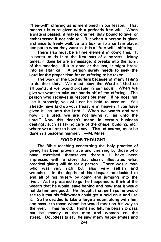"free-will" offering as is mentioned in our lesson. That means it is to be given with a perfectly free will. When a plate is passed, it makes one feel duty bound to give, or embarrassed if not able to. But when a person is given a chance to freely walk up to a box, or to a certain place. and put in what they want to, it is a "free-will" offering.

There also must be a time element in doing this. It is better to do it at the first part of a service. Many times, if done before a message, it breaks into the spirit of the meeting. If it is done at the last, it might break into an altar call. A person surely needs to seek the Lord for the proper time for an offering to be taken.

The work of the Lord suffers because of many failing to do their duty. We must obey the Word of God on all points, if we would prosper in our souls. When we give we want to take our hands off of the offering. The person who receives is responsible then. If he does not use it properly, you will not be held to account. You already have laid up your treasure in heaven if you have given it "as unto the Lord." When we watch and see how it is used, we are not giving it "as unto the Lord." Now this doesn't mean in certain business dealings, such as taking care of the chapel building, etc., where we all are to have a say. This, of course, must be done in a peaceful manner. - M. Miles

#### **FOOD FOR THOUGHT**

The Bible teaching concerning the holy practice of giving has been proven true and unerring by those who have exercised themselves therein. I have been impressed with a story that clearly illustrates what practical giving will do for a person. There was a man<br>who was very rich but also very selfish and who was very rich but wretched. In the depths of his despair he decided to end all of his misery by going and jumping into the river. As he prepared to go, he happened to think of the wealth that he would leave behind and how that it would not do him any good. He thought that perhaps he would see to it that his fellowmen could get a hold on it and use it. So he decided to take a large amount along with him and pass it to those whom he would meet on his way to the river. Thus he did. Right and left, he began to pass out his money to the men and women on the street. Doubtless to say, he saw many happy smiles and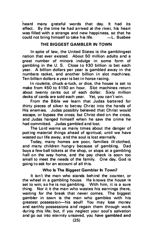heard many grateful words that day. It had its effect. By the time he had arrived at the river, his heart was filled with a strange and new happiness, so that he could not bring himself to take his life.  $\qquad$  -L. Busbee could not bring himself to take his life.

#### THE BIGGEST GAMBLER IN TOWN

In spite of law, the United States is the gamblingest nation that ever existed. About 50 million adults and a great number of minors indulge in some form of gambling in the U.S. Close to \$30 billion is bet each year. A billion dollars per year is gambled away in the numbers racket, and another billion in slot machines. Ten billion dollars a year is bet in horse racing.

In roulette, chuck-a-luck, or dice, the house is set to make from \$50 to \$150 an hour. Slot machines return about twenty cents out of each dollar. Sixty million decks of cards are sold each year. Yet, you can't win.

From the Bible we learn that Judas bartered for thirty pieces of silver to betray Christ into the hands of His enemies. Judas possibly believed that Christ would escape, or bypass the cross; but Christ died on the cross, and Judas hanged himself when he saw the crime he had committed. Judas gambled and lost.

The Lord warns us many times about the danger of putting material things ahead of spiritual, until we have wasted our life away, and the soul is lost eternally.

Today, many homes are poor, families ill-clothed, and many children hungry because of gambling. Dad buys a few ball tickets at the shop, or stops at a gambling hall on the way home, and the pay check is soon too small to meet the needs of the family. One day, God is going to ask for an account of all this.

#### Who Is The Biggest Gambler In Town?

It isn't the man who stands behind the counter, or the wheel in a gambling house. He knows the house is set to win; so he is not gambling. With him, it is a sure thing. Nor it it the man who wastes his earnings there, waiting for the break that never comes. The biggest gambler in town is the man who gambles with his greatest possession-his soull You may lose money and earthly possessions and regain them through work during this life; but, if you neglect your soul's salvation and go out into eternity unsaved, you have gambled and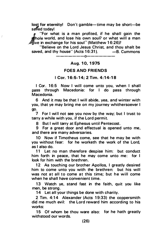lost for eternity! Don't gamble-time may be short-be safed today!

"For what is a man profited, if he shall gain the thole world, and lose his own soul? or what will a man  $\mathscr{B}$ ive in exchange for his soul" (Matthew 16:26)?

ż

"Believe on the Lord Jesus Christ, and thou shalt be<br>ed. and thy house" (Acts 16:31).  $-$ B Cummons saved, and thy house" (Acts 16:31).

#### $---$ 0 $-$

#### Aug. 10. 1975

#### FOES AND FRIENDS

#### I Cor. 16:5-14: 2 Tim. 4:14-18

I Cor. 16:5 Now I will come unto you, when I shall pass through Macedonia: for I do pass through Macedonia.

6 And it may be that I will abide, yea, and winter with you, that ye may bring me on my journey whithersoever I go.

7 For I will not see you now by the way; but I trust to tarry a while with you, if the Lord permit.

8 But I will tarry at Ephesus until Pentecost.

9 For a great door a nd effectual is opened unto me, and there are many adversaries.

10 Now if Timotheus come, see that he may be with you without fear: for he worketh the work of the Lord. as I also do.

11 Let no man therefore despise him: but conduct him forth in peace, that he may come unto me: for I look for him with the brethren.

12 As touching our brother Apollos, I greatly desired him to come unto you with the brethren: but his will was not at all to come at this time; but he will come when he shall have convenient time.

13 Watch ye, stand fast in the faith, quit you like men, be strong.

14 Let all your things be done with charity.

2 Tim. 4:14 Alexander (Acts 19:33) the coppersmith did me much evil: the Lord reward him according to his works:

15 Of whom be thou ware also: for he hath greatly withstood our words.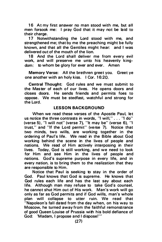16 At my first answer no man stood with me, but all men forsook me: I pray God that it may not be laid to their charge.

17 Notwithstanding the Lord stood with me, and strengthened me; that by me the preaching might be fully known, and that all the Gentiles might hear: and I was delivered out of the mouth of the lion.

18 And the Lord shall deliver me from every evil work, and will preserve me unto his heavenly kingdom: to whom be glory for ever and ever. Amen

Memory Verse: All the brethren greet you. Greet ye one another with an holy kiss. I Cor. 16:20.

Central Thought: God rules and we must submit to the Master of each of our lives. He opens doors and closes doors. He sends friends and permits foes to oppose. We must be stedfast, watchful and strong for the Lord.

#### LESSON BACKGROUND

When we read these verses of the Apostle Paul, let us notice the three contrasts in words,  $T$  will, $T_{1}$ , . . .  $T_{1}$  do  $T_{2}$ (verse 5). "I will not" (verse 7). "It may be" (verse 6). "I trust," and "If the Lord permit" (verse 7). Notice that two minds, two wills, are working together in the ordering of Paul's life. We read in the Bible about God working behind the scene in the lives of people and nations. We read of Him actively interposing in their lives. Today, God is still working, and we need to look for Him and see Him in the lives of people and nations. God's supreme purpose in every life, and in every nation, is to bring them to the realization that they are responsible to Him.

Notice that Paul is seeking to stay in the order of God. Paul knows that God is supreme. He knows that God rules each life and has the last say about each life. Although man may refuse to take God's counsel. he cannot shut Him out of His work. Man's work will go only as far as God permits and if God wills, man's whole plan will collapse to utter ruin. We read that "Napoleon's fall dated from the day when, on his way to Moscow, he turned away from the faithful remonstrance of good Queen Louise of Prussia with his bold defiance of God: 'Madam, I propose a nd I dispose!"'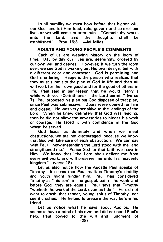In all humility we must bow before that higher will. our God, and let Him lead, rule, govern and control our lives or we will come to utter ruin. "Commit thy works"<br>unto the Lord, and thy thoughts shall be unto the Lord, and thy thoughts shall be established." Prov. 16:3. - M. Miles

#### ADULTS AND YOUNG PEOPLE'S COMMENTS

Each of us are weaving history on the ioom of time. Day by day our lives are, seemingly, ordered by our own will and desires. However, if we turn the loom over, we see God is working out His own design; but with a different color and character. God is permitting and God is ordering. Happy is the person who realizes that they must submit to the plan of God in life and then all will work for their own good and for the good of others in life. Paul said in our lesson that he would "tarry a while with you, (Corinthians) if the Lord permit." (verse 7<sup>1</sup> Paul proposed his plan but God disposed of that plan, since Paul was submissive. Doors were opened for him and closed.. He was very sensitive to the leadings of the Lord. When he knew definitely that God was leading. then he did not allow the adversaries to hinder his work or courage. He faced it with confidence in the God whom he served.

God leads us definitely and when we meet obstructions, we are not discouraged, because we know that God will take care of each obstruction. We can say with Paul. "notwithstanding the Lord stood with me, and strengthened me." Praise God for that faith we have in Him. We know that "the Lord shall deliver me from every evil work, and will preserve me unto his heavenly kingdom." (verse 18)

Let us also notice how the Apostle Paul speaks of Timothy. It seems that Paul realizes Timothy's timidity and youth might hinder him. Paul has considered Timothy as "his son" in the gospel, but in the work and before God, they are equals. Paul says that Timothy "worketh the work of the Lord, even as I do". He did not want to crush that tender, young spirit of Timothy, nor see it crushed. He helped to prepare the way before his friend.

Let us notice what he says about Apollos. He seems to have a mind of his own and did not need Paul's help. Paul bowed to the will and judgment of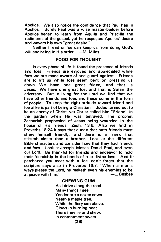Apollos. We also notice the confidence that Paul has in<br>Apollos. Surely Paul was a wise master-builder before Surely Paul was a wise master-builder before Apollos began to learn from Aquila and Priscilla the rudiments of the gospel, yet he respected Apollos' desire and wavers his own "great desire".

Neither friend or foe can keep us from doing God's will and being in His order.  $-M$ . Miles

#### FOOD FOR THOUGHT

In every phase of life is found the presence of friends and foes. Friends are enjoyed and appreciated while foes we are made aware of and guard against. Friends are to lift up while foes seem bent on pressing us down. We have one great friend, and that is Jesus. We have one great foe, and that is Satan the adversary. But in living for the Lord we find that we have other friends and foes and these come in the form of people. To keep the right attitude toward friend and foe alike is part of being a Christian. Judas turned out to be an enemy of Christ, yet Christ called him "Friend" in the garden when He was betrayed. The prophet Zechariah prophesied of Jesus being wounded in the house of His friends. Zech. 1 3:6. Also we find in Proverbs 18:24 it says that a man that hath friends must shew himself friendly: and there is a friend that sticketh closer than a brother. Look at the different Bible characters and consider how that they had friends and foes. Look at Joseph, Moses, David, Paul, and even our Lord. Be thankful for friends and endeavor to hold their friendship in the bonds of true divine love. And if · perchance you meet with a foe, don't forget that the scripture says also in Proverbs 16:7, 'When a man's ways please the Lord, he maketh even his enemies to be<br>at neace with him."  $-$ L. Busbee at peace with him."

#### **CHEWING GUM**

As I drive along the road Many things I see. Yonder are a dozen cows Neath a maple tree. While the fiery sun above, Glows in burning heat There they lie and chew, In contentment sweet. (29)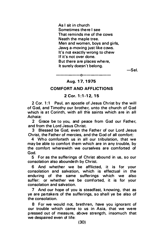As I sit in church Sometimes there I see That reminds me of the cows Neath the maple tree. Men and women, boys and girls, Jaws a-moving just like cows. It's not exactly wrong to chew If it's not over done. But there are places where. It surely doesn't belong.

-Sel.

### ------0------- Aug. 17, 1975

#### COMFORT AND AFFLICTIONS

#### 2 Cor. 1:1-12, 15

2 Cor. 1:1 Paul, an apostle of Jesus Christ by the will of God, and Timothy our brother, unto the church of God which is at Corinth, with all the saints which are in all Achaia:

2 Grace be to you, and peace from God our Father, and from the Lord Jesus Christ.

3 Blessed be God, even the Father of our Lord Jesus Christ, the Father of mercies, and the God of all comfort:

4 Who comforteth us in all our tribulation, that we may be able to comfort them which are in any trouble, by the comfort wherewith we ourselves are comforted of God.

5 For as the sufferings of Christ abound in us. so our consolation also aboundeth by Christ.

6 And whether we be afflicted, it is for your consolation and salvation, which is effectual in the enduring of the same sufferings which we also suffer: or whether we be comforted, it is for your consolation and salvation.

7 And our hope of you is steadfast, knowing, that as ye are partakers of the sufferings, so shall ye be also of the consolation.

8 For we would not, brethren, have you ignorant of our trouble which came to us in Asia, that we were pressed out of measure, above strength, insomuch that we despaired even of life: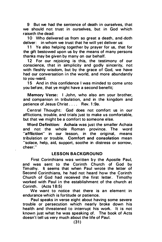9 But we had the sentence of death in ourselves, that we should not trust in ourselves, but in God which raiseth the dead:

10 Who delivered us from so great a death, and doth deliver: in whom we trust that he will yet deliver us:

11 Ye also helping together by prayer for us, that for the gift bestowed upon us by the means of many persons thanks may be given by many on our behalf.

12 For our rejoicing is this, the testimony of our conscience, that in simplicity and godly sincerity, not with fleshly wisdom, but by the grace of God, we have had our conversation in the world, and more abundantly to you-ward.

15 And in this confidence I was minded to come unto you before, that ye might have a second benefit;

Memory Verse: I John, who also am your brother, and companion in tribulation, and in the kingdom and patience of Jesus Christ . . . . Rev. 1 :9a.

Cen tral Thought: God does not comfort us in our afflictions, trouble, and trials just to make us comfortable. but that we might be a comfort to someone else.

Word Definition: Achaia was just the smaller Achaia and not the whole Roman province. The word "affliction" in our lesson, in the original, means tribulation or trouble. Comfort and consolation mean "solace, help, aid, support, soothe in distress or sorrow, cheer."

#### LESSON BACKGROUND

First Corinthians was written by the Apostle Paul, and was sent to the Corinth Church of God by Timothy. It seems that when Paul wrote the letter of Second Corinthians, he had not heard how the Corinth Church of God had received the first letter. Timothy worked with Paul in the establishment of the church at Corinth. (Acts 1 8:5)

We want to notice that there is an element in endurance which is fortitude or patience.

Paul speaks in verse eight about having some severe trouble or persecution which nearly broke down his health and threatened to interrupt his work. It is not known just what he was speaking of. The book of Acts doesn't tell us very much about the life of Paul.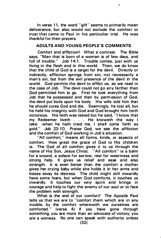In verse 11, the word "gift" seems to primarily mean deliverance, but also would not exclude the comfort or trust that came to Paul in his particuliar trial. He was thankful for their prayers.

3

#### ADULTS AND YOUNG PEOPLE'S COMMENTS

Comfort and affliction! What a contrast. The Bible says, "Man that is born of a woman is of few days, and full of trouble." Job 14:1. Trouble comes, just with us living in the flesh and in this world. Then, we do know that the child of God is a target for the devil. Directly or indirectly, affliction springs from sin; not necessarily a man's sin, but from the evil presence of the devil in the world. God permits the devil to afflict us, as we read in the case of Job. The devil could not go any farther than God permitted him to go. First he took everything from Job that he possessed and then by permission of God, the devil put boils upon his body. His wife told him that he should curse God and die. Seemingly, he lost all, but he held his integrity with God and God brought him forth victorious. His faith was tested but he said. "I know that my Redeemer liveth . . . He knoweth the way I take: when he hath tried me, I shall come forth as aold." Job 23:10. Praise God, we see the affliction Job 23:10. Praise God, we see the affliction and the comfort of God working in Job's situation.

"All comfort," means all forms, kinds, or aspects of comfort. How great the grace of God to His children is. The God of all comfort gives it to us through the name of His Son, Jesus Christ. "All comfort" is a balm for a wound, a solace for sorrow, rest for weariness and strong help. It gives us relief and ease and also strength. It is even better than the comfort a mother gives her crying baby while she holds it in her arms and kisses away its distress. The child might still inwardly have some fears, but when God comforts, it touches us inwardly. It touches our very spirit and brings in courage and help to fight the enemy of our soul or to face the problem with strength.

What is the end of our comfort? The Apostle Paul tells us that we are to "comfort them which are in any trouble, by the comfort wherewith we ourselves are comforted." (verse 4) If you have gone through something, you are more than an advocate of victory; you are a witness. No one can speak with authority unless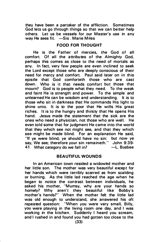they have been a partaker of the affliction. Sometimes God lets us go through things so that we can better help others. Let us be vessels for our Master's use in any way He sees fit.  $-Sis$ . Marie Miles

#### FOOD FOR THOUGHT

He is the Father of mercies, the God of all comfort. Of all the attributes of the Almighty God. perhaps this comes as close to the need of mortals as any. In fact, very few people are even inclined to seek the Lord except those who are deeply conscious of their need for mercy and comfort. Paul said later on in this epistle that God comforteth those who are cast down. Who is it that needs comfort but those that mourn? God is to people what they need. To the weak and faint He is strength and power. To the simple and unlearned He can be wisdom and understanding. It is to those who sit in darkness that He commands His light to shine unto. It is to the poor that He wills His great riches. It is to the hungry and thirsty that He opens His hand. Jesus made the statement that the sick are the ones who need a physician, not those who are well. He even told some that for judgment He came into the world that they which see not might see, and that they which see might be made blind. For an explanation He said. "If ye were blind, ye should have no sin: but now ye say, We see; therefore your sin remaineth." John 9:39-41 What category do we fall in? -L. Busbee

#### **BEAUTIFUL WOUNDS**

In an American town resided a widowed mother and her little son. The mother was very beautiful except for her hands which were terribly scarred as from scalding or burning. As the little lad reached the age when he began to notice the contrast between individuals, he asked his mother, "Mumsy, why are your hands so homely? Why aren't they beautiful like Bobby's mother's hands?" When the mother felt the little lad was old enough to understand, she answered his oft repeated question: 'When you were very small, Billy, you were playing in the living room one day, and I was working in the kitchen. Suddenly I heard you scream, and I rushed in and found you had gotten too close to the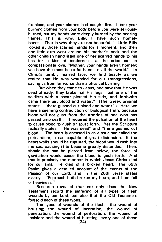fireplace, and your clothes had caught fire. I tore your burning clothes from your body before you were seriously burned, but my hands were deeply burned by the searing flames. This is why, Billy. I have such homely hands. That is why they are not beautiful." Little Billy looked at those scarred hands for a moment, and then one little arm went around his mother's neck and the other childish hand lifted one of her scarred hands to his lips for a kiss of tenderness, as he cried out in compassionate love, "Mother, your hands aren't homely; you have the most beautiful hands in all the world." In Christ's terribly marred face, we find beauty as we realize that He was wounded for our transgressions, saving us from far worse than a physical burning.

"But when they came to Jesus, and saw that He was dead already, they brake not His legs: but one of the soldiers with a spear pierced His side, and forthwith came there out blood and water." (The Greek original states: "there gushed out blood and water." Here we have a seeming contradiction of biological truth, because blood will not gush from the arteries of one who has passed unto death. It required the pulsation of the heart to cause blood to qush or spurt forth. Yet the Scripture factually states: "He was dead" and "there gushed out blood." The heart is encased in an elastic sac called the pericardium, a sac capable of great distension. If the heart walls should be ruptured, the blood would rush into the sac, causing it to become greatly distended. Then, should the sac be pierced from below, the force of gravitation would cause the blood to gush forth. And that is precisely the manner in which Jesus Christ died for our sins: He died of a broken heart. The 69th Psalm gives a detailed account of the events of the Passion of our Lord, and in the 20th verse states clearly: "Reproach hath broken my heart; and I am full of heaviness.'

Research revealed that not only does the New Testament record the suffering of all types of flesh wounds by our Lord, but also that the Old Testament foretold each of these types.

The types of wounds of the flesh: the wound of bruising; the wound of laceration: the wound of penetration; the wound of perforation; the wound of incision; and the wound of bursting, every one of these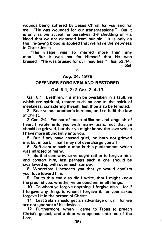wounds being suffered by Jesus Christ for you and for me. "He was wounded for our transgressions." But it is only as we accept for ourselves the shedding of His blood that we are cleansed from our sin. It is only as His life-giving blood is applied that we have the newness in Christ Jesus.

"His visage was so marred more than any man." But it was not for Himself that He was bruised—"He was bruised for our iniquities." Isa. 52:14. -Sel.

### -------0------- Aug. 24, 1975

#### OFFENDER FORGIVEN AND RESTORED

#### Gal. 6:1, 2: 2 Cor. 2: 4-17

Gal. 6:1 Brethren, if a man be overtaken in a fault, ve which are spiritual, restore such an one in the spirit of meekness; considering thyself, lest thou also be tempted.

2 Bear ye one another's burdens, and so fulfil the law of Christ.

2 Cor. 2:4 For out of much affliction and anguish of heart I wrote unto you with many tears; not that ye should be grieved, but that ye might know the love which I have more abundantly unto you.

5 But if any have caused grief, he hath not grieved me, but in part: that I may not overcharge you all.

6 Sufficient to such a man is this punishment, which was inflicted of many.

7 So that contrariwise ye ought rather to forgive him, and comfort him, lest perhaps such a one should be swallowed up with overmuch sorrow.

8 Wherefore I beseech you that ye would confirm your love toward him.

9 For to this end also did I write, that I might know the proof of you, whether ye be obedient in all things.

10 To whom ye forgive anything, I forgive also: for if I forgave any thing, to whom I forgave it, for your sakes forgave I it in the person of Christ;

11 Lest Satan should get an advantage of us: for we are not ignorant of his devices.

12 Furthermore, when I came to Troas to preach Christ's gospel, and a door was opened unto me of the Lord,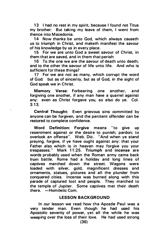13 I had no rest in my spirit, because I found not Titus my brother: But taking my leave of them, I went from thence into Macedonia.

14 Now thanks be unto God, which always causeth us to triumph in Christ, and maketh manifest the savour of his knowledge by us in every place.

15 For we are unto God a sweet savour of Christ, in them that are saved, and in them that perish:

16 To the one we are the savour of death unto death; and to the other the savour of life unto life. And who is sufficient for these things?

17 For we are not as many, which corrupt the word of God: but as of sincerity, but as of God, in the sight of God speak we in Christ.

Memory Verse: Forbearing one another, and forgiving one another, if any man have a quarrel against any: even as Christ forgave you, so also do ye. Col.  $3:13.$ 

Central Thought: Even grievous sins committed by anyone can be forgiven, and the penitent offender can be restored to complete confidence.

Word Definition: Forgive means "to give up resentment against or the desire to punish; pardon; to overlook an offense". Web. Die. "And when ye stand praying, forgive, if ye have ought against any: that your Father also which is in heaven may forgive you your trespasses." Mark 11:25. Triumph and incense are words probably used when the Roman army came back from battle. Rome had a holiday and long lines of captives marched down the street. Wagons were loaded with silver, gold, magnificent dresses and ornaments, statues, pictures and all the plunder from conquered cities. Incense was burned along with this parade of captured loot and people. They marched to the temple of Jupiter. Some captives met their death there. - Homiletic Com.

#### LESSON BACKGROUND

In our lesson we read how the Apostle Paul was a very tender man. Even though he had used his Apostolic severity of power, yet all the while he was weeping over the loss of their love. He had used strong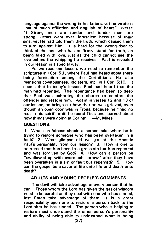language against the wrong in his letters, yet he wrote it "out of much affliction and anguish of heart." (verse 4) Strong men are tender and tender men are strong. Jesus wept over Jerusalem because of their sins, yet He had told them the truth, which caused them to turn against Him. It is hard for the wrong-doer to think of the one who has to firmly stand for truth, as being filled with love, just as the child cannot see the love behind the whipping he receives. Paul is revealed in our lesson in a special way.

As we read our lesson, we need to remember the scriptures in I Cor. 5:1, where Paul had heard about there<br>being fornication among the Corinthians. He also being fornication among the Corinthians. He mentions covetousness, idolaters, etc. in I Cor. 5:10. It seems that in today's lesson. Paul had heard that the man had repented. The repentance had been so deep that Paul was exhorting the church to comfort the offender and restore him. Again in verses 12 and 13 of our lesson, he brings out how that he was grieved, even though an open door was in Troas, because he "had no rest in his spirit" until he found Titus and learned about how things were going at Corinth.  $-M$ . Miles

#### QUESTIONS:

1. What carefulness should a person take when he is trying to restore someone who has been overtaken in  $a$ fault? 2. What glimpse did we get of the Apostle Paul's personality from our lesson? 3. How is one to be treated that has been in a gross sin but has repented and was forgiven by God? 4. How can a person be "swallowed up with overmuch sorrow" after they have been overtaken in a sin or fault but repented? 5. How can the gospel be a savor of life unto life and death unto death?

#### ADULTS AND YOUNG PEOPLE'S COMMENTS

The devil will take advantage of every person that he can. Those whom the Lord has given the gift of wisdom need to be careful as they deal with one who has sinned. lest Satan take advantage of them. It is a great responsibility upon one to restore a person back to the Lord after he has sinned. The person who is helping to restore must understand the other person's personality and ability of being able to understand what is being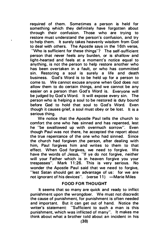req uired of them. Sometimes a person is held for something which they definitely have forgotten about through their confusion. Those who are trying to restore must understand the person's confusion, and try to help them. It surely takes heavenly wisdom from God to deal with others. The Apostle says in the 16th verse,

"Who is sufficient for these things"? The self-sufficient person that never feels any burden, or is shallow and light-hearted and feels at a moment's notice equal to anything, is not the person to help restore another who has been overtaken in a fault, or who has committed sin. Restoring a soul is surely a life and death business. God's Word is to be held up for a person to come to. We cannot excuse anyone when God does not allow them to do certain things, and we cannot be any easier on a person than God's Word is. Everyone will be judged by God's Word. It will expose every sin. The person who is helping a soul to be restored is duty bound before God to hold that soul to God's Word. Even though it causes grief, a soul must obey or be lost. It is a serious thing.

We notice that the Apostle Paul tells the church to comfort the one who has sinned and has repented, lest he "be swallowed up with overmuch sorrow". Even though Paul was not there, he accepted the report about the true repentance of the one who had sinned. Since the church had forgiven the person, after dealing with him. Paul forgives him and writes to them to that effect. When God forgives, we need to forgive. We have the words of Jesus, "If ye do not forgive, neither will your Father which is in heaven forgive you your trespasses". Mark 11:26. This is very serious. No wonder the Apostle Paul said that we need to forgive. "lest Satan should get an advantage of us: for we are not ignorant of his devices". (verse 11) -Marie Miles

#### FOOD FOR THOUGHT

It seems that so many are quick and ready to inflict punishment upon the wrongdoer. We must not discredit the cause of punishment, for punishment is often needed and important. But it can get out of hand. Notice the writer's statement: "Sufficient to such a man is this punishment, which was inflicted of many". It makes me think about what a brother told about an incident in his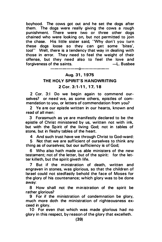boyhood. The cows got out and he set the dogs after them. The dogs were really giving the cows a rough punishment. There were two or three other dogs chained who were looking on, but not permitted to join the chase. His little sister said, 'Why don't you turn these dogs loose so they can get some 'bites', tool" Well, there is a tendency that way in dealing with those in error. They need to feel the weight of their offense, but they need also to feel the love and forgiveness of the saints.

#### -------0------- Aug. 31, 1975

#### THE HOLY SPIRIT'S HANDWRITING

#### 2 Cor. 3:1-11, 17. 18

2 Cor. 3:1 Do we begin again to commend ourselves? or need we, as some others, epistles of commendation to you, or letters of commendation from you?

2 Ye are our epistle written in our hearts, known a nd read of all men:

3 Forasmuch as ye are manifestly declared to be the epistle of Christ ministered by us, written not with ink, but with the Spirit of the living God; not in tables of stone, but in fleshy tables of the heart.

4 And such trust have we through Christ to God-ward:

5 Not that we are sufficient of ourselves to think any thing as of ourselves; but our sufficiency is of God;

6 Who also hath made us able ministers of the new testament; not of the letter, but of the spirit: for the letter killeth, but the spirit giveth life.

7 But if the ministration of death, written and engraven in stones, was glorious, so that the children of Israel could not stedfastly behold the face of Moses for the glory of his countenance; which glory was to be done away:

8 How shall not the ministration of the spirit be rather glorious?

9 For if the ministration of condemnation be glory, much more doth the ministration of righteousness exceed in alory.

10 For even that which was made glorious had no glory in this respect, by reason of the glory that excelleth.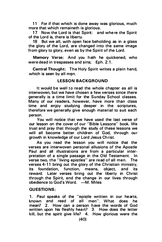11 For if that which is done away was glorious, much more that which remaineth is glorious.

17 Now the Lord is that Spirit: and where the Spirit of the Lord is, there is liberty.

18 But we all, with open face beholding as in a glass the glory of the Lord, are changed into the same image from glory to glory, even as by the Spirit of the Lord.

Memory Verse: And you hath he quickened, who were dead in trespasses and sins: Eph. 2:1.

Central Thought: The Holy Spirit writes a plain hand, which is seen by all men.

#### LESSON BACKGROUND

It would be well to read the whole chapter as all is interwoven, but we have chosen a few verses since there generally is a time limit for the Sunday School classes. Many of our readers, however, have more than class time and enjoy studying deeper in the scriptures, therefore we generally give enough material to suit each person.

You will notice that we have used the last verse of our lesson on the cover of our "Bible Lessons" book. We trust and pray that through the study of these lessons we will all become better children of God, through our growth in knowledge of our Lord Jesus Christ.

As you read the lesson you will notice that the verses are interwoven personal allusions of the Apostle Paul and all illustrations are from a particular interpretation of a single passage in the Old Testament. In verse two, the "living epistles" are read of all men. The verses 4-11 bring out the glory of the Christian ministry. its foundation, function, means, object, and its reward. Later verses bring out the liberty in Christ through the Spirit, and the change in our lives through obedience to God's Word. - M. Miles

#### QU ESTIONS :

1. Paul speaks of the "epistle written in our hearts,<br>known and read of all men" What does he known and read of all men". What does he mean? 2. How can a person have the words of God written upon his fleshly heart? 3. How does the letter kill, but the spirit give life? 4. How glorious were the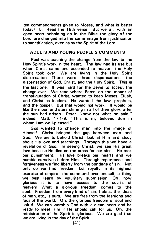ten commandments given to Moses, and what is better today? 5. Read the 18th verse: But we all, with an open heart beholding as in the Bible the glory of the Lord, are changed into the same image from justification to sanctification, even as by the Spirit of the Lord.

#### ADULTS AND YOUNG PEOPLE'S COMMENTS

Paul was teaching the change from the law to the Holy Spirit's work in the heart. The law had its use but when Christ came and ascended to heaven, the Holy Spirit took over. We are living in the Holy Spirit dispensation. There were three dispensations: the dispensation. There were three dispensations: dispensation of God, Christ, and the Holy Spirit. This is the last one. It was hard for the Jews to accept the change-over. We read where Peter, on the mount of transfiguration of Christ, wanted to keep Moses, Elijah, and Christ as leaders. He wanted the law, prophets, and the gospel. But that would not work. It would be like the moon and stars shining in all of their glory, after the sun had arisen. Peter "knew not what he said, " indeed. Matt. 17:1-9. "This is my beloved Son in whom I am well-pleased."

God wanted to change man into the image of Himself. Christ bridged the gap between man and God. We are to behold Christ, look at Him and study about His love and teachings. Through this we have a revelation of God. In seeing Christ, we see His great love because He died on the cross for our sins. He took our punishment. His love breaks our hearts and we humble ourselves before Him. Through repentance and forgiveness we find liberty from the bondage of sin. Not only do we find freedom, but royalty in its highest exercise of empire—the command over oneself, a thing we best learn by voluntary submission. Oh, how glorious it is to have access to the courts of heaven! What a glorious freedom comes to the soul. Freedom from every kind of sin, habits, the ideas of men, etc., is ours. We are free from the fashions and fads of the world. Oh, the glorious freedom of soul and spirit! We can worship God with a clean heart and be ready to meet Him if He should call for us. Oh, the ministration of the Spirit is glorious. We are glad that we are living in the day of the Spirit.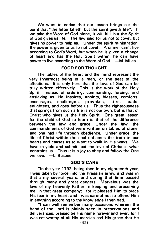We want to notice that our lesson brings out the point that "the letter killeth, but the spirit giveth life". If we take the Word of God alone, it will kill, but the Spirit of God gives us life. The law said for us not to covet, but gives no power to help us. Under the spirit ministration, the power is given to us to not covet. A sinner can't live according to God's Word, but when he is given a change of heart and has the Holy Spirit within, he can have power to live according to the Word of God. - M. Miles

#### FOOD FOR THOUGHT

The tables of the heart and the mind represent the very innermost being of a man, or the seat of the affections. It is only here that the laws of God can be truly written effectively. This is the work of the Holy Spirit. Instead of ordering, commanding, forcing, and enslaving us, He inspires, anoints, blesses, comforts, encourages, challenges, provokes, stirs, leads, enlightens, and goes before us. Thus the righteousness that springs from such a life is not our own, but is that of Christ who gives us the Holy Spirit. One great lesson for the child of God to learn is that of the difference between the law and grace. Under the law, the commandments of God were written on tables of stone, and one had life through obedience. Under grace, the life of Christ within the soul enflames the truth in our hearts and causes us to want to walk in His ways. We have to yield and submit, but the love of Christ is what contrains us. Thus it is a joy to obey and follow the One we love. -L. Busbee

#### **GOD'S CARE**

"In the year 1792, being then in my eighteenth year, I was taken by force into the Prussian army, and was in that army several years, and during that time passed through many and great dangers. Marvelous was the love of my heavenly Father in keeping and preserving me, in that great company: for it pleased Him to place His fear in my heart; and I was careful not to offend Him in anything according to the knowledge I then had.

"I can well remember many occasions wherein the hand of the Lord is plainly seen in preservations and deliverances; praised be His name forever and ever; for I was not worthy of all His mercies and His grace that He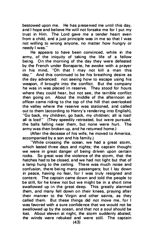bestowed upon me. He has preserved me until this day, and I hope and believe He will not forsake me for I put my trust in Him. The Lord gave me a tender heart even from a child, and a just principle was in me so that I was not willing to wrong anyone, no matter how hungry or needy I was."

He appears to have been convinced, while in the army, of the iniquity of taking the life of a fellow being. On the morning of the day they were defeated by the French under Bonaparte, he awoke with a prayer in his mind. "Oh that I may not kill a man this day." And this continued to be his breathing desire as the day advanced: not seeing how to escape using his weapon, if brought into the conflict. But the company he was in was placed in reserve. They stood for hours where they could hear, but not see, the terrible conflict then going on. About the middle of the afternoon an officer came riding to the top of the hill that overlooked the valley where the reserve was stationed, and called out to them (according to Henry's rendering into English), "Go back, my children, go back, my children; all is lost! all is lost!" (They speedily retreated, but were pursued, the balls falling near them, but none were hurt. The army was then broken up, and he returned home.)

(After the decease of his wife, he moved to America, accompanied by a son and his family.)

"While crossing the ocean, we had a great stom, which lasted three days and nights; the captain thought we were in great danger of being driven upon certain rocks. So great was the violence of the storm, that the hatches had to be closed, and we had not light but that of a lamp hung to the ceiling. There was much noise and confusion, there being many passengers; but I lay down in peace, having no fear, for I was truly resigned and content. The captain came down and told the people to be still, for he knew not but we might be in a short time swallowed up in the great deep. This greatly alarmed them, and many fell down on their knees, praying after their manner to the Virgin and other saints, as they called them. But these things did not move me, for I was favored with a sure confidence that we would not be swallowed up by the ocean, and that not a soul should be lost. About eleven at night, the storm suddenly abated; the winds were rebuked and were still. The captain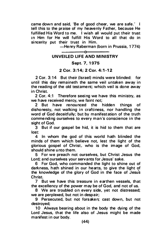came down and said, 'Be of good cheer, we are safe.' I tell this to the praise of my heavenly Father, because He fulfilled His Word to me. I wish all would put their trust in Him for He will fulfill His Word to all that do in sincerity put their trust in Him.

-Henry Raberman (born in Prussia, 1774)

#### -ი-UNVEILFD LIFE AND MINISTRY

#### Sept. 7. 1975

#### 2 Cor. 3:14; 2 Cor. 4: 1 - 12

2 Cor. 3:14 But their (Israel) minds were blinded: for until this day remaineth the same veil untaken away in the reading of the old testament; which veil is done away in Christ.

2 Cor. 4:1 Therefore seeing we have this ministry, as we have received mercy, we faint not;

2 But have renounced the hidden things of dishonesty, not walking in craftiness, nor handling the word of God deceitfully; but by manifestation of the truth commending ourselves to every man's conscience in the sight of God.

3 But if our gospel be hid, it is hid to them that are lost:

4 In whom the god of this world hath blinded the minds of them which believe not, lest the light of the glorious gospel of Christ. who is the image of God, should shine unto them.

5 For we preach not ourselves, but Christ Jesus the Lord; and ourselves your servants for Jesus' sake.

6 For God, who commanded the light to shine out of darkness, hath shined in our hearts, to give the light of the knowledge of the glory of God in the face of Jesus Christ.

7 But we have this treasure in earthen vessels, that the excellency of the power may be of God. and not of us.

8 We are troubled on every side, yet not distressed: we are perplexed, but not in despair:

9 Persecuted, but not forsaken; cast down, but not destroyed;

10 Always bearing about in the body the dying of the Lord Jesus, that the life also of Jesus might be made manifest in our body.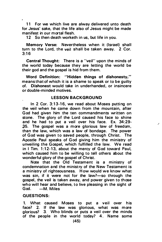11 For we which live are alway delivered unto death for Jesus' sake, that the life also of Jesus might be made manifest in our mortal flesh.

12 So then death worketh in us, but life in you.

Memory Verse: Nevertheless when it (Israel) shall turn to the Lord, the veil shall be taken away. 2 Cor.  $3:16$ 

Central Thought: There is a "veil" upon the minds of the world today because they are letting the world be their god and the gospel is hid from them.

Word Definition: "Hidden things of dishonesty," means that of which it is a shame to speak or to be guilty of. Dishonest would take in underhanded, or insincere or double-minded motives.

#### **LESSON BACKGROUND**

In 2 Cor. 3:13-16, we read about Moses putting on the veil when he came down from the mountain, after God had given him the ten commandments written on stone. The glory of the Lord caused his face to shine and he had to put a veil over his face. Ex. 34:29- 35. The gospel was a more glorious law of freedom. than the law, which was a law of bondage. The power of God was given to saved people, through Christ. The Apostle Paul speaks of God giving him the ministry of unveiling the Gospel. which fulfilled the law. We read in I Tim. 1:12-13, about the mercy of God toward Paul, which caused him to be willing to tell others about the wonderful glory of the gospel of Christ.

\_/

Note that the Old Testament is a ministry of condemnation and the ministry of the New Testament is a ministry of righteousness. How would we know what was sin, if it were not for the law?-so through the gospel, the veil is taken away, and power given to those who will hear and believe, to live pleasing in the sight of God.  $-M$  Miles  $-M.$  Miles

#### QUESTIONS:

1. What caused Moses to put a veil over his face? 2. If the law was glorious, what was more glorious? 3. Who blinds or puts a veil over the minds of the people in the world today? 4. Name some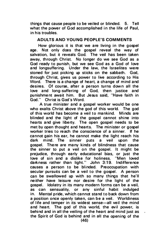things that cause people to be vei led or blinded. 5. Tell what the power of God accomplished in the life of Paul, in his troubles.

#### ADULTS AND YOUNG PEOPLE'S COMMENTS

How glorious it is that we are living in the gospel age. Not only does the gospel reveal the way of salvation, but it reveals God. The veil has been taken away, through Christ. No longer do we see God as a God ready to punish, but we see God as a God of love and longsuffering. Under the law, the Israelites were stoned for just picking up sticks on the sabbath. God, thro ugh Christ, gives us power to live according to His Word. There is a change of heart, a change of mind and desires. Of course, after a person turns down all the love and long-suffering of God, then justice and punishment await him. But Jesus said, "Have faith in God." Christ is God's Word.

A true minister and a gospel worker would be one who exalts Christ above the god of this world. The god of this world has become a veil to mankind. Minds are blinded and the light of the gospel cannot shine into hearts and give liberty. The open gospel needs to be met by open thought and hearts. The minister or gospel worker tries to reach the conscience of a sinner. If he cannot gain his ear, he cannot make the light reach his dark mind. The sinner puts a veil upon the gospel. There are many kinds of blindness that cause the sinner to put a veil on the gospel. It might be prejudice, through early educational bias, or just the<br>love of sin and a dislike for holiness. "Men loved love of sin and a dislike for holiness. darkness rather than light." John 3:19. Indifference causes a person to be blinded. Preoccupation with secular pursuits can be a veil to the gospel. A person can be swallowed up with so many things that he'll neither have leisure nor desire for the light of the gospel. Ido latry in its many modern forms can be a veil. as can sensuality, or any sinful habit indulged in. Mental pride, which cannot stand to back down from a position once openly taken, can be a veil. Worldiness of life and temper in its widest sense-all veil the mind and heart. The god of this world, the evil power, is behind and in all the veiling of the heart and mind just as  $\sim$ the Spirit of God is behind and in all the opening of the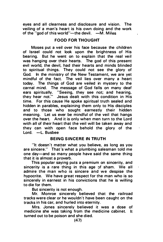eyes and all clearness and disclosure and vision. The veiling of a man's heart is his own doing and the work of the "god of this world"-the devil.  $-M$ . Miles

#### FOOD FOR THOUG HT

Moses put a veil over his face because the children of Israel could not look upon the brightness of His bearing. But he went on to explain that the real veil was hanging over their hearts. The god of this present evil world, the devil, had their hearts and minds blinded to spiritual things. They could not see the glory of God. In the ministry of the New Testament, we are yet mindful of the fact. The veil lies over many a heart today. The things of God are veiled in mystery to the carnal mind. The message of God falls on many deaf ears spiritually. "Seeing, they see not; and hearing. they hear not:'' Jesus dealt with this condition in His time. For this cause He spoke spiritual truth sealed and hidden in parables, explaining them only to His disciples and to those who sought earnestly their hidden meaning. Let us ever be mindful of the veil that hangs over the heart. And it is only when men turn to the Lord with all of their heart that the veil will be taken away and they can with open face behold the glory of the Lord. -L. Busbee

#### **BEING SINCERE IN TRUTH**

"It doesn't matter what you believe, as long as you are sincere." That's what a plumbing salesman told me one day-and so many people have said the same thing that it is almost a proverb.

This popular saying puts a premium on sincerity, and sincerity is a rare thing in this age of sham. We all admire the man who is sincere and we despise the hypocrite. We have great respect for the man who is so sincerely in earnest in his convictions that he is willing to die for them.

But sincerity is not enough.

Mr. Monroe sincerely believed that the railroad tracks were clear or he wouldn't have been caught on the tracks in his car, and hurled into eternity.

Mrs. Jones sincerely believed it was a dose of medicine she was taking from the medicine cabinet. It turned out to be poison and she died.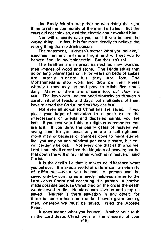Joe Brady felt sincerely that he was doing the right thing to rid the community of the man he hated. But the court did not think so, and the electric chair awaited him.

Nor will sincerity save your soul if you believe the wrong thing. In fact, it is far more deadly to believe the wrong thing than to drink poison.

The statement, "It doesn't matter what you believe," assumes that any faith is all right and will get you to heaven if you follow it sincerely. But that isn't so!

The heathen are in great earnest as they worship their images of wood and stone. The Hindu fakirs that go on long pilgrimages or lie for years on beds of spikes<br>are utterly sincere—but they are lost. The sincere-but Mohammedans stop work and drop on their knees wherever they may be and pray to Allah five times daily. Many of them are sincere too, but they are lost. The Jews with unquestioned sincerity go through a careful ritual of feasts and days, but multitudes of them have rejected the Christ, and so they are lost.

Not even all so-called Christians are saved. If you p lace your hope of salvation in a pope or in the intercessions of priests and departed saints, you are lost. If you rest your faith in religious ceremonies, you are lost. If you think the pearly gates of heaven will swing open for you because you are a self-righteous moral man or because of charities done to merit eternal life. you may be one hundred per cent sincere, but you will certainly be lost. "Not every one that saith unto me. Lord, Lord, shall enter into the kingdom of heaven; but he that doeth the will of my Father which is in heaven," said Christ.

It is the devil's lie that it makes no difference what you believe. It makes a world of difference-an eternity of difference-what you believe! A person can be saved only by coming as a needy, helpless sinner to the Lord Jesus Christ and accepting His pardon-a pardon made possible because Christ died on the cross the death we deserved to die. He alone can save us and keep us saved. "Neither is there salvation in any other: for there is none other name under heaven given among men, whereby we must be saved," cried the Apostle Peter.

It does matter what you believe. Anchor your faith in the Lord Jesus Christ with all the sincerity of your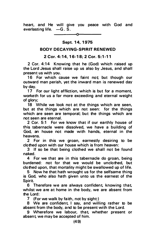heart, and He will give you peace with God and everlasting life.  $-G.\overline{S}$ .

### -0 Sept. 14, 1975

#### BODY DECAYING-SPIRIT RENEWED

#### 2 Cor. 4:14, 16-18; 2 Cor. 5:1-11

2 Cor. 4:14 Knowing that he (God) which raised up the Lord Jesus shall raise up us also by Jesus, and shall present us with you.

16 For which cause we faint not but though our outward man perish, yet the inward man is renewed day by day.

17 For our light affliction, which is but for a moment. worketh for us a far more exceeding and eternal weight of glory;

18 While we look not at the things which are seen, but at the things which are not seen: for the things which are seen are temporal; but the things which are not seen are eternal.

2 Cor. 5:1 For we know that if our earthly house of this tabernacle were dissolved, we have a building of God, an house not made with hands, eternal in the heavens.

2 For in this we groan, earnestly desiring to be clothed upon with our house which is from heaven:

3 If so be that being clothed we shall not be found naked.

4 For we that are in this tabernacle do groan, being burdened: not for that we would be unclothed, but clothed upon, that mortality might be swallowed up of life.

5 Now he that hath wrought us for the selfsame thing is God, who also hath given unto us the earnest of the Spirit.

6 Therefore we are always confident, knowing that, whilst we are at home in the body, we are absent from the Lord:

7 (For we walk by faith, not by sight:)

8 We are confident, I say, and willing rather to be absent from the body, and to be present with the Lord.

9 Wherefore we labour, that, whether present or absent, we may be accepted of him.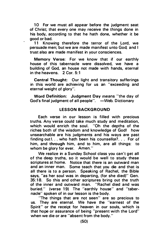10 For we must all appear before the judgment seat of Christ; that every one may receive the things done in his body, according to that he hath done, whether it be good or bad.

11 Knowing therefore the terror of the Lord, we persuade men; but we are made manifest unto God; a nd I trust also are made manifest in your consciences.

Memory Verse: For we know that if our earthly house of this tabernacle were dissolved, we have a building of God, an house not made with hands, eternal in the heavens. 2 Cor. 5:1

Central Thought: Our light and transitory sufferings in this world are achieving for us an "exceeding and eternal weight of glory".

Word Definition: Judgment Day means "the day of God's final judgment of all people". - Web. Dictionary

#### LESSON BACKGROUND

Each verse in our lesson is filled with precious truths. Any verse could take much study and meditation, which would enrich the soul. "Oh the depths of the riches both of the wisdom and knowledge of God! how unsearchable are his judgments and his ways are past finding out!. .. who hath been his counsellor?. . . For of him, and through him, and to him, are all things: to whom be glory for ever. Amen."

We realize in a Sunday School class you can't get all of the deep truths, so it would be well to study these scriptures at home. Notice that there is an outward man and an inner man. Some teach that you die and that is all there is to a person. Speaking of Rachel, the Bible says, "as her soul was in departing, (for she died)" Gen. 35: 18. So this and other scriptures bring out the truth of the inner and outward man. "Rachel died and was buried." (verse 19) The "earthly house" and "tabernacle" spoken of in our lesson is the body.

' 'The things that are not seen" are so precious to us. They are eternal. We have the "earnest of the Spirit" or the receipt for heaven in our souls, which is that hope or assurance of being "present with the Lord" when we die or are "absent from the body."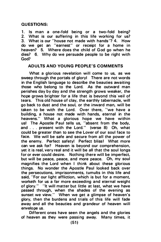#### QUESTIONS:

1. Is man a one-fold being or a two-fold being? 2. What is our suffering in this life working for us? 3. What is our "house not made with hands"? 4. How do we get an "earnest" or receipt for a home in heaven? 5. Where does the child of God go when he dies? 6. Why do we persuade people to be right with God?

#### ADULTS AND YOUNG PEOPLE'S COMMENTS

What a glorious revelation will come to us, as we sweep through the portals of gloryl There are not words in the English language to describe the beauties awaiting those who belong to the Lord. As the outward man perishes day by day a nd the strength grows weaker, the hope grows brighter for a life that is beyond this veil of tears. This old house of clay, the earthly tabernacle, will go back to dust and the soul, or the inward man, will be taken to be with the Lord. Over there, "we have a building, a house not made with hands, eternal in the heavens." What a glorious hope we have within us! The Apostle Paul tells us, "absent from the body, and . . . present with the Lord." (verse 8) Oh, what could be greater than to see the Lover of our soul face to face. We will be safe and secure from all the power of the enemy. Perfect safety! Perfect bliss! What more can we ask for? Heaven is beyond our comprehension, yet it is real, very real and it will be all that the soul longs for or ever could desire. Nothing there will be imperfect. but will be peace, peace, and more peace. Oh, my soul magnifies the Lord when I think about these glorious things. No wonder the Apostle Paul looked back over the persecutions, imprisonments, tumults in this life and said, "For our light affliction, which is but for a moment, worketh for us a far more exceeding and eternal weight of alory." "It will matter but little at last, what we have passed through, when the shades of the evening as sunset we view." When we get a glimpse of heaven's glory, then the burdens and trials of this life will fade away and all the beauties and grandeur of heaven will envelope us.

Different ones have seen the angels and the glories of heaven as they were passing away. Many times, it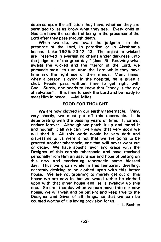depends upon the affliction they have, whether they are permitted to Jet us know what they see. Every child of God can have the comfort of being in the presence of the Lord after they pass through death.

When we die, we await the judgment in the p resence of the Lord, in paradise or in Abraham's bosom. Luke 16:25: 23:42, 43. The unjust or wicked are "reserved in everlasting chains under darkness unto the judgment of the great day." (Jude 6) Knowing what awaits the wicked and the "terror of the Lord, we persuade men" to turn unto the Lord while they have time and the right use of their minds. Many times, when a person is dying in the hospital, he is given a shot. People pass without time to get right with God. Surely, one needs to know that "today is the day of salvation". It is time to seek the Lord and be ready to meet Him in peace.  $-M$ . Miles

#### FOOD FOR THOUGHT

We are now clothed in our earthly tabernacle. Very, very shortly, we must put off this tabernacle. It is deteriorating with the passing years of time. It cannot endure forever. Although we patch it up and mend it and nourish it all we can, we know that very soon we will shed it. All this world would be very dark and distressing to us were it not that we are going to be granted another tabernacle, one that will never wear out or decay. We have sought favor and grace with the Designer of this earthly tabernacle and have received personally from Him an assurance and hope of putting on this new and everlasting tabernacle some blessed day. Thus we groan while in this temporary dwelling, earnestly desiring to be clothed upon with this better house. We are not groaning to merely get out of this house we are now in, but we would rather be clothed upon with that other house and let it swallow up this one. So until that day when we can move into our new house, we will wait and be patient and keep true to the Designer and Giver of all things, so that we can be counted worthy of His loving provision for us.

-L. Busbee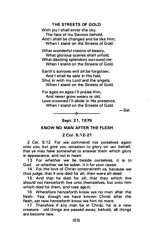#### THE STREETS OF GOLD

With joy I shall enter the city. The face of my Saviour behold, And I shall be changed and be like Him. When I stand on the Streets of Gold.

What wonderful visions of beauty. What glorious scenes shall unfold. What dazzling splendors surround me. When I stand on the Streets of Gold.

Earth's sorrows will all be forgotten. And I shall be safe in His fold, Shut in with my Lord and the angels, When I stand on the Streets of Gold.

For ages on ages I'll praise Him, And never grow weary or old, Love crowned I'll abide in His presence, When I stand on the Streets of Gold.

-Sel.

Sept. 21, 1975

#### KNOW NO MAN AFTER THE FLESH

#### 2 Cor. 5:12-21

2 Cor. 5:12 For we com mend not ourselves again unto you, but give you occasion to glory on our behalf, that ye may have somewhat to answer them which glory in appearance, and not in heart.

13 For whether we be beside ourselves, it is to God: or whether we be sober, it it for your cause.<br>14 For the love of Christ constraineth us: heca

14 For the love of Christ constraineth us; because we thus judge, that if one died for all, then were all dead:

15 And that he died for all, that they which live should not henceforth live unto themselves. but unto him which died for them, and rose again.

16 Wherefore henceforth know we no man after the flesh: Yea, though we have known Christ after the flesh, yet now henceforth know we him no more.

17 Therefore if any man be in Christ, he is a new creature: old things are passed away; behold, all things are become new.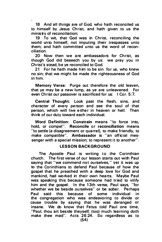18 And all things are of God, who hath reconciled us to himself by Jesus Christ. and hath given to us the ministry of reconciliation:

19 To wit, that God was in Christ, reconciling the world unto himself, not imputing their trespasses unto them; and hath committed unto us the word of reconciliation.

20 Now then we are ambassadors for Christ, as though God did beseech you by us: we pray you in Christ's stead, be ve reconciled to God.

21 For he hath made him to be sin for us, who knew no sin; that we might be made the righteousness of God in him.

Memory Verse: Purge out therefore the old leaven. that ye may be a new lump, as ye are unleavened. For even Christ our passover is sacrificed for us: I Cor. 5:7.

Central Thought: Look past the flesh, sins, and character of every person and see the soul of that person, which will live either in heaven or hell. Then think of our duty toward each individual.

Word Definition: Constrain means "to force into, hold, or compel". Reconcile or reconciliation means "to settle (a disagreement or quarrel), to make friendly, to make compatible". Ambassador is "an official messenger with a special mission; to represent it to another".

#### LESSON BACKGROUND

The Apostle Paul is writing to the Corinthian church. The first verse of our lesson starts out with Paul saying that "we commend not ourselves," yet it was up to the Corinthians to defend Paul because of how the gospel that he preached with a deep love for God and mankind, had worked in their own hearts. Maybe Paul was speaking this because someone had tried to vilify him and the gospel. In the 13th verse, Paul says, "for whether we be beside ourselves" or be sober. Perhaps Paul said this because of some individual in the congregation who was endeavoring to divide or cause trouble by saying that he was deranged or insane. We do know that Fetus told Paul one time, "Paul. thou art beside theyself; (too) much learning doth make thee mad". Acts 26:24. So regardless as to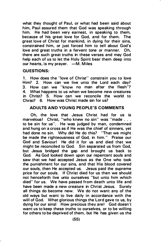what they thought of Paul, or what had been said about him, Paul assured them that God was speaking through him. He had been very earnest, in speaking to them, because of his great love for God, and for them. The great love of Christ for mankind, in dying for their sins, constrained him, or just forced him to tell about God's love and great truths in a fervent tone or manner. Oh, there are such great truths in these verses and may God help each of us to let the Holy Spirit bear them deep into our hearts, is my prayer. - M. Miles

#### QU ESTIONS:

1. How does the "love of Christ" constrain you to love Him? 2. How can we live unto the Lord each day? 3. How can we "know no man after the flesh"? 4. What happens to us when we become new creatures in Christ? 5. How can we reconcile the world to Christ? 6. How was Christ made sin for us?

#### ADULTS AND YOUNG PEOPLE'S COMMENTS

Oh, the love that Jesus Christ had for us is marvelous! Christ, "who knew no sin" was "made . . . to be sin for us". He was judged by man, condemned and hung on a cross as if He was the chief of sinners, yet had done no sin. Why did He do this? "That we might be made the righteousness of God, in him." Praise our God and Saviour! He did it for us and died that we might be reconciled to God. Sin separated us from God, but Jesus bridged the gap and brought us back to God. As God looked down upon our repentant souls and saw that we had accepted Jesus as the One who took the punishment for our sins, and that His blood covered our souls, then He accepted us. Jesus paid the supreme price for our souls. If Christ died for us then we should not henceforth live unto ourselves "but unto him which died" for us. We have passed from death unto life and have been made a new creature in Christ Jesus. Surely all things do become new. We do not want any of the old ways but want to live daily in accordance with the will of God. What glorious things the Lord gave to us, by dying for our sinsl How precious they are! God doesn't want us to keep these truths to ourselves, or to be willing for others to be deprived of them, but He has given us the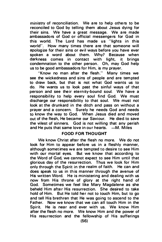ministry of reconciliation. We are to help others to be reconciled to God by telling them about Jesus dying for their sins. We have a great message. We are made ambassadors of God or official messengers for God in this world. The Lord has made us "lights in this world". How many times there are that someone will apologize for their sins or evil ways before you have ever spoken a word about them. Why? Because when darkness comes in contact with light, it brings condemnation to the other person. Oh, may God help us to be good ambassadors for Him, is my prayer.

"Know no man after the flesh." Many times we see the wickedness and sins of people and are tempted to draw back, but that is not what God wants us to do. He wants us to look past the sinful ways of that person and see their eternity-bound soul. We have a responsibility to help every soul find God. We must discharge our responsibility to that soul. We must not look at the drunkard in the ditch and pass on without a prayer and a concern. Surely he needs God and needs to know the way to God. When Jesus died and moved out of the flesh, He became our Saviour. He died to save the vilest of sinners. God is not willing that any perish and He puts that same love in our hearts. - M. Miles

#### FOOD FOR THOUGHT

We know Christ after the flesh no more. We do not look for Him to appear before us in a fleshly manner, although sometimes we are tempted to desire to see Him with our mortal eyes. But we know that according to the Word of God, we cannot expect to see Him until that glorious day of the resurrection. Thus we look for Him only through the Spirit in the realm of faith. He can and does speak to us in this manner through the avenue of His written Word. He is ministering and dealing with us now from His throne of glory at the right hand of God. Sometimes we feel like Mary Magdalene as she beheld Him after His resurrection. She desired to take hold of Him. But He told her not to touch Him, but to go and tell His brethren that He was going to ascend to the Father. Now we know that we can all touch Him in the Spirit. He is near and ever with us. We know Him after the flesh no more. We know Him and the power of His resurrection and the fellowship of His sufferings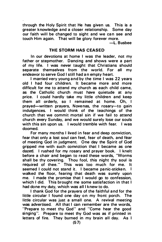through the Holy Spirit that He has given us. This is a greater knowledge and a closer relationship. Some day our faith will be changed to sight and we can see and touch Him again. That will be glory forever more.

-L. Busbee

#### THE STORM HAS CEASED

In our devotions at home I was the leader, not my father or stepmother. Dancing and shows were a part of my life. I was never taught that Christians should separate themselves from the world. For all my endeavor to serve God I still had an empty heart.

I married very young and by the time I was 22 years old I had four children. It became more and more difficult for me to attend my church as each child came, as the Catholic church must have quietude at any price. I could hardly take my little children and keep them all orderly, so I remained at home. Oh, I prayed-written prayers. Novenas, the rosary-to gain indulgences. I would think of the teachings of the church that we commit mortal sin if we fail to attend church every Sunday, and we would surely lose our souls with this sin upon us. I would tremble with fear. I was doomed.

For many months I lived in fear and deep conviction, fear that only a lost soul can feel, fear of death, and fear of meeting God in judgment. One day the Spirit of God gripped me with such conviction that I became as one dazed. I rushed for my rosary and prayer book. I knelt before a chair and began to read these words, 'Worms shall be thy covering. Thou fool, this night thy soul is required of thee." This was too much for me. It seemed I could not stand it. I became panic-sticken. I walked the floor, fearing that death was surely upon me. I made the promise that I would go to confession, which I did. This brought me some satisfaction in that I had done my duty, which was all I knew to do.

I thank God for the prayers of the faithful and for the little circular I found one day on my front porch. The little circular was just a small one. A revival meeting was advertised. All that I can remember are the words, "Prepare to meet thy God" a nd "Come hear the good singing". Prepare to meet thy God was as if printed in letters of fire. They burned in my brain all day. As I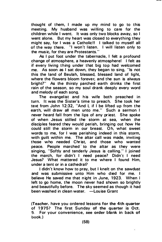thought of them, I made up my mind to go to this meeting. My husband was willing to care for the children while I went. It was only two blocks away, so I went alone. But my heart was closed to everything they might say, for I was a Catholic!! I talked to myself all of the way there. "I won't listen. I will listen only to the music, for they are Protestants."

As I put foot under the tabernacle, I felt a profound change of atmosphere, a heavenly atmosphere! I felt as if every living thing under that big top had welcomed me. As soon as I sat down, they began to sing, "Is not this the land of Beulah, blessed, blessed land of light, where the flowers bloom forever, and the sun is always bright?" As the thirsty parched earth drinks the first rain of the season, so my soul drank deeply every word and melody of each song.

The evangelist and his wife both preached in turn. It was the Sister's time to preach. She took her text from John 12:32, "And I, if I be lifted up from the earth, will draw all men unto me." Such a sermon I never heard fall from the lips of any priest. She spoke of when Jesus stilled the storm at sea, when the disciples feared they would perish, bringing out how He could still the storm in our breast. Oh, what sweet words to me, for I was perishing indeed in this storm, with guilt within me. The altar call was made, inviting those who needed Christ, and those who wanted peace. People marched to the altar as they were singing, "Softly and tenderly Jesus is calling." I joined the march, for didn't I need peace? Didn't I need Jesus? What mattered it to me where I found Him, under a tent or in a cathedral?

I didn't know how to pray, but I knelt on the sawdust and was submissive unto Him who died for me. I believe He saved me that night in June, 1923. When I left to go home, the moon never had shown so brightly and beautifully before. The sky seemed as though it had been washed in clean water. -Louise Grant

(Teacher, have you ordered lessons for the 4th quarter of 1975? The first Sunday of the quarter is Oct. 5. For your convenience, see order blank in back of book.)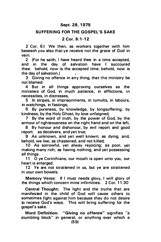#### Sept. 28, 1975

#### SUFFERING FOR THE GOSPEL'S SAKE

#### $2$  Cor. 6:1-12

2 Cor. 6:1 We then, as workers together with him beseech you also that ye receive not the grace of God in vain.

2 (For he saith, I have heard thee in a time accepted, and in the day of salvation have I succoured thee: behold, now is the accepted time; behold, now is the day of salvation.)

3 Giving no offence in any thing, that the ministry be not blamed:

4 But in all things approving ourselves as the ministers of God, in much patience, in afflictions, in necessities, in distresses,

5 In stripes, in imprisonments, in tumults, in labours, in watchings, in fastings;

6 By pureness, by knowledge, by longsuffering, by kindness, by the Holy Ghost, by love unfeigned,

7 By the word of truth, by the power of God, by the armour of righteousness on the right hand and on the left,

8 By honour and dishonour, by evil report and good report: as deceivers, and yet true;

9 As unknown, a nd yet well known; as dying, and, behold, we live; as chastened, a nd not killed;

10 As sorrowful, yet alway rejoicing; as poor, yet making many rich; as having nothing, and yet possessing all things.

11 0 ye Corinthians, our mouth is open unto you, our heart is enlarged.

12 Ye are not straitened in us, but ye are straitened in your own bowels.

Memory Verse: If I must needs glory, I will glory of the things which concern mine infirmities. 2 Cor. 11:30

Central Thought: The light and the truths that are manifested in the child of God will cause others to sometimes fight against him because they do not desire to receive God's ways. This will bring suffering for the gospel's sake.

Word Definition: "Giving no offence" signifies "a stumbling block" in general, or anything over which a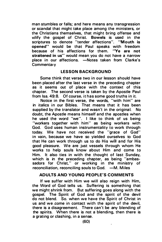man stumbles or falls; and here means any transgression or scandal that might take place among the ministers, or the Christians themselves, that might bring offense and vilify the gospel of Christ. Bowels is used in the scriptures to denote "tender affections". "Mouth is opened" would be that Paul speaks with freedom<br>because of his affections for them. "Ye are not because of his affections for them. straitened in us" would mean you do not have a narrow place in our affections. - Notes taken from Clarke's Commentary

#### LESSON BAC KGROUND

Some think that verse two in our lesson should have been placed after the last verse in the preceding chapter as it seems out of place with the context of this chapter. The second verse is taken by the Apostle Paul from lsa. 49:8. Of course. it has some good truths in it.

Notice in the first verse, the words, "with him" are in italics in our Bibles. That means that it has been supplied by the translator and wasn't in the original. No doubt, the Apostle means himself and the apostles when he used the word "we". I like to think of us being "workers together with him" as being workers with God. God uses human instrumentality to work through today. We have not received the "grace of God" in vain, because we have so yielded ourselves to God that He can work through us to do His will and for His good pleasure. We are just vessels through whom He works to help souls know about Him and come to Him. It also ties in with the thought of last Sunday, which is in the preceding chapter, as being "ambassadors for Christ," or working in the ministry of reconciliation, reconciling souls to God. - M. Miles

#### ADULTS AND YOUNG PEOPLE'S COMMENTS

If we suffer with Him we will also reign with Him, the Word of God tells us. Suffering is something that we might shrink from. But suffering goes along with the gospel. The Spirit of God and the spirit of the devil do not blend. So. when we have the Spirit of Christ in us and we .come in contact with the spirit of the devil, there is a disagreement. There can't be any blending of the spirits. When there is not a blending, then there is a grating or clashing, in a sense.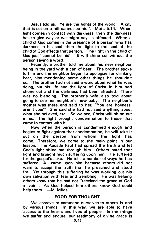Jesus told us, "Ye are the lights of the world. A city that is set on a hill cannot be hid". Matt.  $5:14$ . light comes in contact with darkness, then the darkness has to give way or we might say, is affected. When a child of God comes in the presence of a person who has darkness in his soul, then the light in the soul of the child of God affects that person. The light in the child of God just "cannot be hid". It will shine out without the person saying a word.

Recently, a brother told me about his new neighbor being in the yard with a can of beer. The brother spoke to him and the neighbor began to apologize for drinking beer, also mentioning some other things he shouldn't do. The brother had not said a word about what he was doing, but his life and the light of Christ in him had shone out and the darkness had been affected. There was no blending. The brother's wife also told about going to see her neighbor's new baby. The neighbor's mother was there and said to her, "You are holiness, aren't you?" She said she had not said a nything about what she believed, etc. So we see, Christ will shine out in us. The light brought condemnation to those that came in contact with it.

Now when the person is condemned enough a nd begins to fight against that condemnation, he will take it out on the person from whom the light has come. Therefore, we come to the main point in our lesson. The Apostle Paul had spread the truth and let God's light shine out through him. Others hated that light and brought much suffering upon him. He suffered for the gospel's sake. He tells a number of ways he has suffered. All came upon him because others did not want to accept the truth that he preached and stood for. Yet through this suffering he was working out his own salvation with fear and trembling. He was helping others know that he had not "received the grace of God in vain". As God helped him others knew God could help them. - M. Miles

#### FOOD FOR THOUGHT

We approve or commend ourselves to others in and by various things. In this way, we are able to have access to the hearts and lives of people. In the things we suffer and endure, our testimony of divine grace is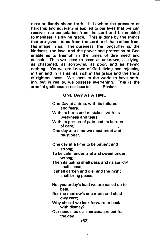most brilliantly shone forth. It is when the pressure of hardship and adversity is applied to our lives that we can receive true consolation from the Lord and be enabled to manifest His divine grace. This is done by the things that are given to us from the Lord and that reflect from His image in us. The pureness, the longsuffering, the kindness, the love, a nd the power and protection of God enable us to triumph in the times of dire need and despair. Thus we seem to some as unknown, as dying, as chastened, as sorrowful, as poor, and as having nothing. Yet we are known of God, living and rejoicing in Him and in His saints, rich in His grace and the fruits of righteousness. We seem to the world to have nothing, but in reality, we possess everything. This is the proof of godliness in our hearts.  $-L$ . Busbee

#### ONE DAY AT A TIME

- One Day at a time, with its failures and fears,
- With its hurts and mistakes, with its weakness and tears,
- With its portion of pain and its burden of care;
- One day at a time we must meet and must bear.
- One day at a time to be patient and strong;
- To be calm under trial and sweet under wrong;
- Then its toiling shall pass and its sorrow shall cease:
- It shall darken and die, and the night shall bring peace.
- Not yesterday's load we are called on to bear,
- Nor the morrow's uncertain and shadowy care;

Why should we look forward or back with dismay?

Our needs, as our mercies, are but for the day.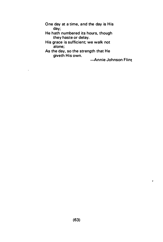One day at a time, and the day is His day;

He hath numbered its hours, though they haste or delay.

His grace is sufficient; we walk not alone;

As the day, so the strength that He giveth His own.

 $\lambda$ 

-Annie Johnson Flint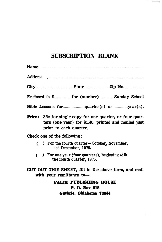# SUBSCRIPTION BLANK

. .

| Name …………………………………………………………………………………                                                                                                              |
|---------------------------------------------------------------------------------------------------------------------------------------------------|
|                                                                                                                                                   |
| City  State  Zip No.                                                                                                                              |
| Enclosed is \$ for (number) Sunday School                                                                                                         |
| Bible Lessons forquarter(s) or year(s).                                                                                                           |
| <b>Price:</b> 35c for single copy for one quarter, or four quar-<br>ters (one year) for \$1.40, printed and mailed just<br>prior to each quarter. |
| Check one of the following:                                                                                                                       |
| () For the fourth quarter—October, November,<br>and December, 1975.                                                                               |
| () For one year (four quarters), beginning with<br>the fourth quarter, 1975.                                                                      |
| CUT OUT THIS SHEET, fill in the above form, and mail                                                                                              |
| with your remittance to-                                                                                                                          |
| <b>FAITH PUBLISHING HOUSE</b>                                                                                                                     |
| <b>P. O. Box 518</b>                                                                                                                              |
| Guthrie, Oklahoma 73044                                                                                                                           |